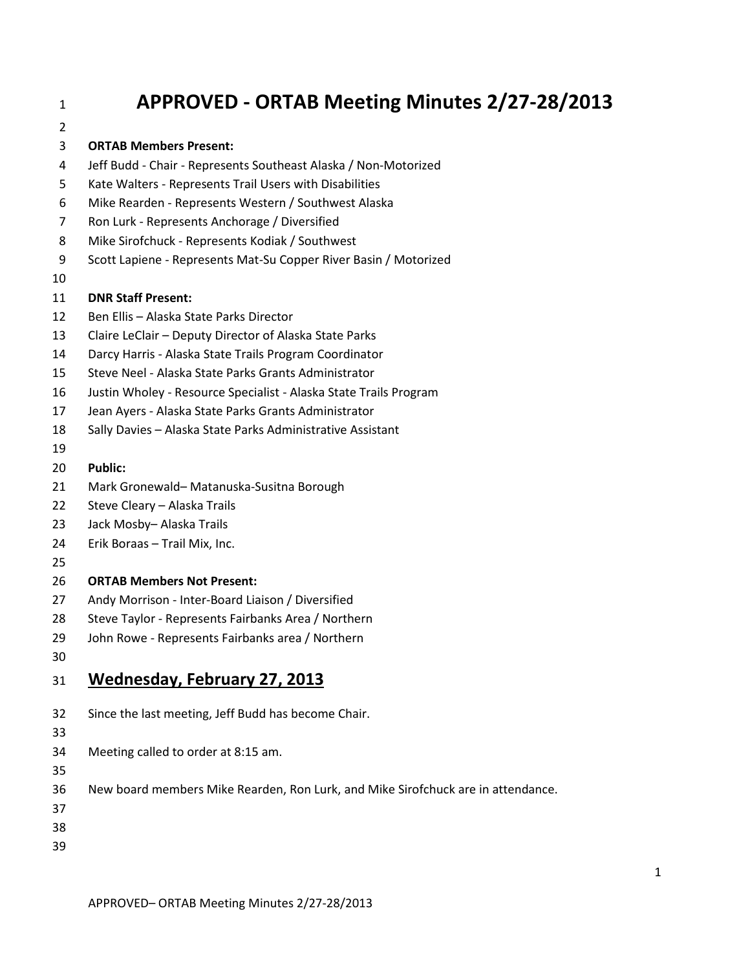# **APPROVED - ORTAB Meeting Minutes 2/27-28/2013**

#### **ORTAB Members Present:**

- Jeff Budd Chair Represents Southeast Alaska / Non-Motorized
- Kate Walters Represents Trail Users with Disabilities
- Mike Rearden Represents Western / Southwest Alaska
- Ron Lurk Represents Anchorage / Diversified
- Mike Sirofchuck Represents Kodiak / Southwest
- Scott Lapiene Represents Mat-Su Copper River Basin / Motorized
- 

#### **DNR Staff Present:**

- Ben Ellis Alaska State Parks Director
- Claire LeClair Deputy Director of Alaska State Parks
- Darcy Harris Alaska State Trails Program Coordinator
- Steve Neel Alaska State Parks Grants Administrator
- Justin Wholey Resource Specialist Alaska State Trails Program
- Jean Ayers Alaska State Parks Grants Administrator
- Sally Davies Alaska State Parks Administrative Assistant
- 
- **Public:**
- Mark Gronewald– Matanuska-Susitna Borough
- Steve Cleary Alaska Trails
- Jack Mosby– Alaska Trails
- Erik Boraas Trail Mix, Inc.
- 

#### **ORTAB Members Not Present:**

- Andy Morrison Inter-Board Liaison / Diversified
- Steve Taylor Represents Fairbanks Area / Northern
- John Rowe Represents Fairbanks area / Northern
- 

#### **Wednesday, February 27, 2013**

- Since the last meeting, Jeff Budd has become Chair.
- 
- Meeting called to order at 8:15 am.
- 
- New board members Mike Rearden, Ron Lurk, and Mike Sirofchuck are in attendance.
- 
- 
-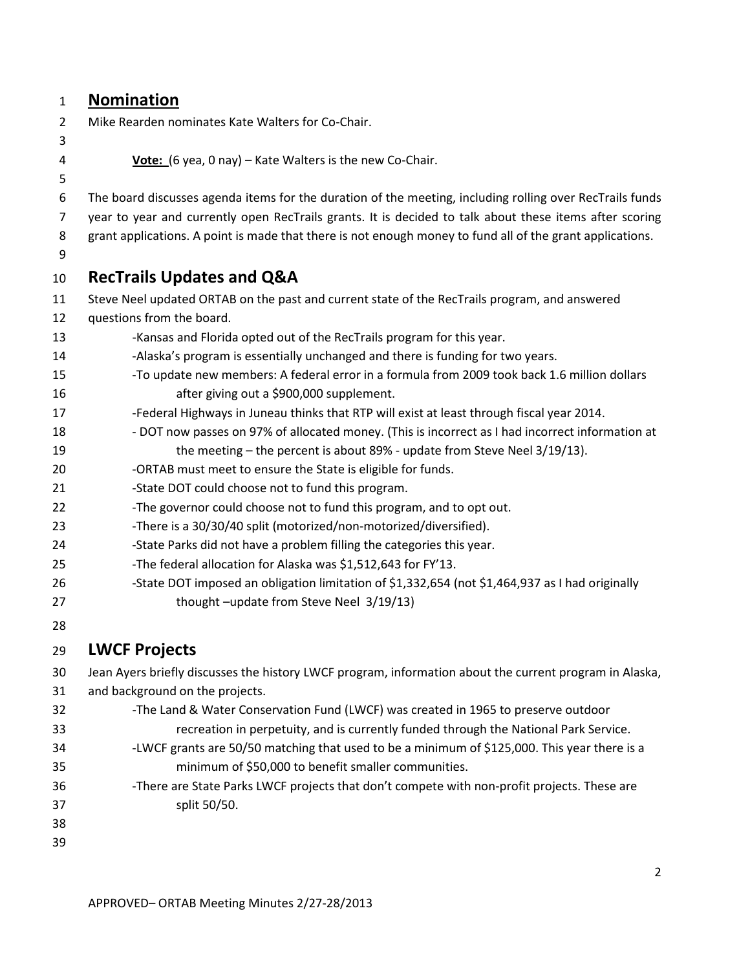### **Nomination**

Mike Rearden nominates Kate Walters for Co-Chair.

**Vote:** (6 yea, 0 nay) – Kate Walters is the new Co-Chair.

 The board discusses agenda items for the duration of the meeting, including rolling over RecTrails funds year to year and currently open RecTrails grants. It is decided to talk about these items after scoring

8 grant applications. A point is made that there is not enough money to fund all of the grant applications.

# **RecTrails Updates and Q&A**

- Steve Neel updated ORTAB on the past and current state of the RecTrails program, and answered questions from the board.
- 13 -Kansas and Florida opted out of the RecTrails program for this year.
- -Alaska's program is essentially unchanged and there is funding for two years.
- -To update new members: A federal error in a formula from 2009 took back 1.6 million dollars after giving out a \$900,000 supplement.
- -Federal Highways in Juneau thinks that RTP will exist at least through fiscal year 2014.
- 18 DOT now passes on 97% of allocated money. (This is incorrect as I had incorrect information at the meeting – the percent is about 89% - update from Steve Neel 3/19/13).
- 20 ORTAB must meet to ensure the State is eligible for funds.
- 21 -State DOT could choose not to fund this program.
- 22 -The governor could choose not to fund this program, and to opt out.
- 23 -There is a 30/30/40 split (motorized/non-motorized/diversified).
- 24 -State Parks did not have a problem filling the categories this year.
- -The federal allocation for Alaska was \$1,512,643 for FY'13.
- -State DOT imposed an obligation limitation of \$1,332,654 (not \$1,464,937 as I had originally 27 thought –update from Steve Neel 3/19/13)
- 

# **LWCF Projects**

Jean Ayers briefly discusses the history LWCF program, information about the current program in Alaska,

- and background on the projects.
- -The Land & Water Conservation Fund (LWCF) was created in 1965 to preserve outdoor recreation in perpetuity, and is currently funded through the National Park Service. -LWCF grants are 50/50 matching that used to be a minimum of \$125,000. This year there is a minimum of \$50,000 to benefit smaller communities.
- -There are State Parks LWCF projects that don't compete with non-profit projects. These are split 50/50.
- 
-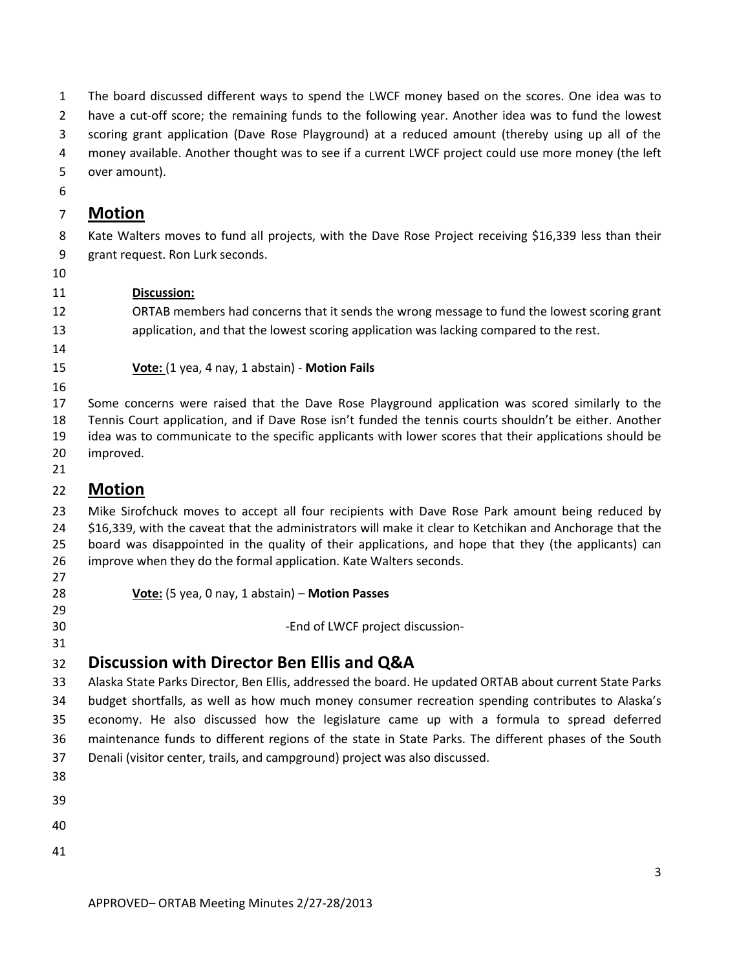The board discussed different ways to spend the LWCF money based on the scores. One idea was to have a cut-off score; the remaining funds to the following year. Another idea was to fund the lowest scoring grant application (Dave Rose Playground) at a reduced amount (thereby using up all of the money available. Another thought was to see if a current LWCF project could use more money (the left over amount). **Motion** Kate Walters moves to fund all projects, with the Dave Rose Project receiving \$16,339 less than their grant request. Ron Lurk seconds. **Discussion:** ORTAB members had concerns that it sends the wrong message to fund the lowest scoring grant application, and that the lowest scoring application was lacking compared to the rest. **Vote:** (1 yea, 4 nay, 1 abstain) - **Motion Fails** Some concerns were raised that the Dave Rose Playground application was scored similarly to the Tennis Court application, and if Dave Rose isn't funded the tennis courts shouldn't be either. Another idea was to communicate to the specific applicants with lower scores that their applications should be improved. **Motion** Mike Sirofchuck moves to accept all four recipients with Dave Rose Park amount being reduced by \$16,339, with the caveat that the administrators will make it clear to Ketchikan and Anchorage that the board was disappointed in the quality of their applications, and hope that they (the applicants) can improve when they do the formal application. Kate Walters seconds. **Vote:** (5 yea, 0 nay, 1 abstain) – **Motion Passes -End of LWCF project discussion- Discussion with Director Ben Ellis and Q&A** Alaska State Parks Director, Ben Ellis, addressed the board. He updated ORTAB about current State Parks budget shortfalls, as well as how much money consumer recreation spending contributes to Alaska's economy. He also discussed how the legislature came up with a formula to spread deferred maintenance funds to different regions of the state in State Parks. The different phases of the South Denali (visitor center, trails, and campground) project was also discussed.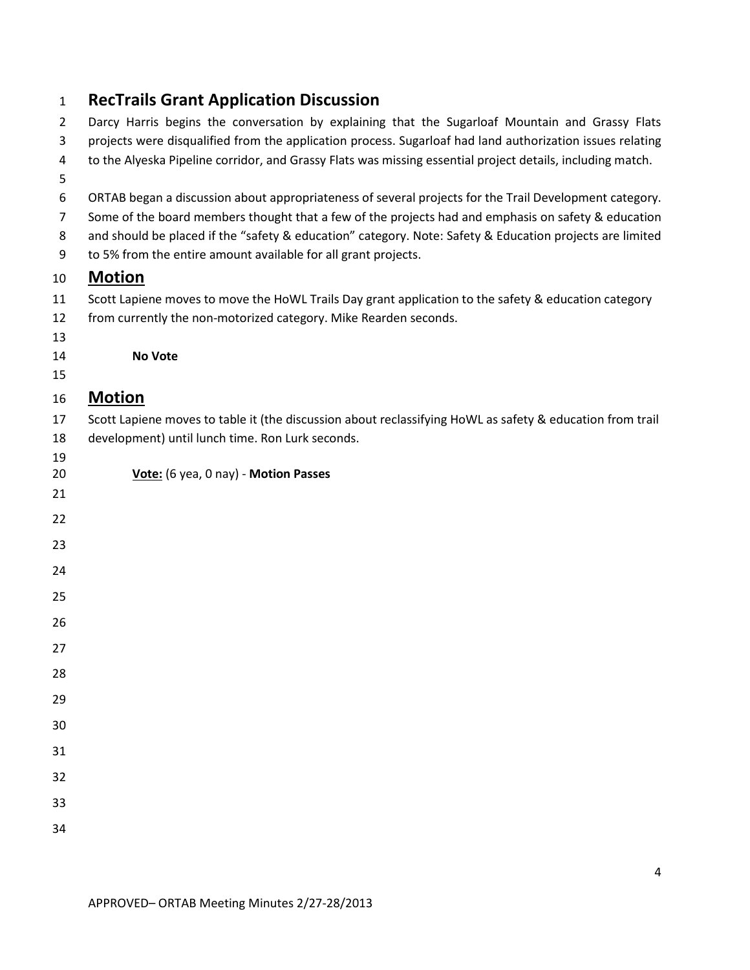|  |  |  | <b>RecTrails Grant Application Discussion</b> |  |
|--|--|--|-----------------------------------------------|--|
|--|--|--|-----------------------------------------------|--|

| $\overline{2}$ | Darcy Harris begins the conversation by explaining that the Sugarloaf Mountain and Grassy Flats            |
|----------------|------------------------------------------------------------------------------------------------------------|
| 3              | projects were disqualified from the application process. Sugarloaf had land authorization issues relating  |
| 4<br>5         | to the Alyeska Pipeline corridor, and Grassy Flats was missing essential project details, including match. |
| 6              | ORTAB began a discussion about appropriateness of several projects for the Trail Development category.     |
| $\overline{7}$ | Some of the board members thought that a few of the projects had and emphasis on safety & education        |
| 8              | and should be placed if the "safety & education" category. Note: Safety & Education projects are limited   |
| 9              | to 5% from the entire amount available for all grant projects.                                             |
| 10             | <b>Motion</b>                                                                                              |
| 11             | Scott Lapiene moves to move the HoWL Trails Day grant application to the safety & education category       |
| 12             | from currently the non-motorized category. Mike Rearden seconds.                                           |
| 13             |                                                                                                            |
| 14             | No Vote                                                                                                    |
| 15             |                                                                                                            |
| 16             | <b>Motion</b>                                                                                              |
| 17             | Scott Lapiene moves to table it (the discussion about reclassifying HoWL as safety & education from trail  |
| 18             | development) until lunch time. Ron Lurk seconds.                                                           |
| 19             |                                                                                                            |
| 20             | Vote: (6 yea, 0 nay) - Motion Passes                                                                       |
| 21             |                                                                                                            |
| 22             |                                                                                                            |
| 23             |                                                                                                            |
| 24             |                                                                                                            |
| 25             |                                                                                                            |
| 26             |                                                                                                            |
| 27             |                                                                                                            |
| 28             |                                                                                                            |
| 29             |                                                                                                            |
| 30             |                                                                                                            |
| 31             |                                                                                                            |
| 32             |                                                                                                            |
| 33             |                                                                                                            |
| 34             |                                                                                                            |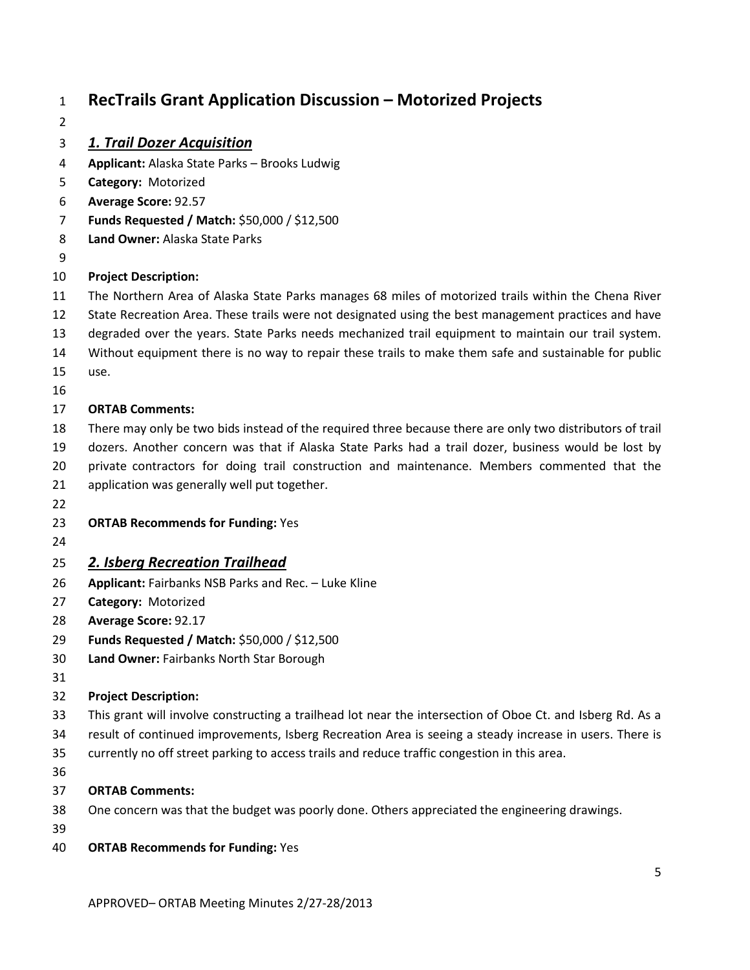# **RecTrails Grant Application Discussion – Motorized Projects**

#### *1. Trail Dozer Acquisition*

- **Applicant:** Alaska State Parks Brooks Ludwig
- **Category:** Motorized
- **Average Score:** 92.57
- **Funds Requested / Match:** \$50,000 / \$12,500
- **Land Owner:** Alaska State Parks
- 

#### **Project Description:**

- The Northern Area of Alaska State Parks manages 68 miles of motorized trails within the Chena River
- State Recreation Area. These trails were not designated using the best management practices and have
- degraded over the years. State Parks needs mechanized trail equipment to maintain our trail system.
- Without equipment there is no way to repair these trails to make them safe and sustainable for public use.
- 

#### **ORTAB Comments:**

- There may only be two bids instead of the required three because there are only two distributors of trail dozers. Another concern was that if Alaska State Parks had a trail dozer, business would be lost by private contractors for doing trail construction and maintenance. Members commented that the application was generally well put together.
- 
- **ORTAB Recommends for Funding:** Yes
- 

#### *2. Isberg Recreation Trailhead*

- **Applicant:** Fairbanks NSB Parks and Rec. Luke Kline
- **Category:** Motorized
- **Average Score:** 92.17
- **Funds Requested / Match:** \$50,000 / \$12,500
- **Land Owner:** Fairbanks North Star Borough
- 

### **Project Description:**

- This grant will involve constructing a trailhead lot near the intersection of Oboe Ct. and Isberg Rd. As a
- result of continued improvements, Isberg Recreation Area is seeing a steady increase in users. There is
- currently no off street parking to access trails and reduce traffic congestion in this area.
- 

- One concern was that the budget was poorly done. Others appreciated the engineering drawings.
- 
- **ORTAB Recommends for Funding:** Yes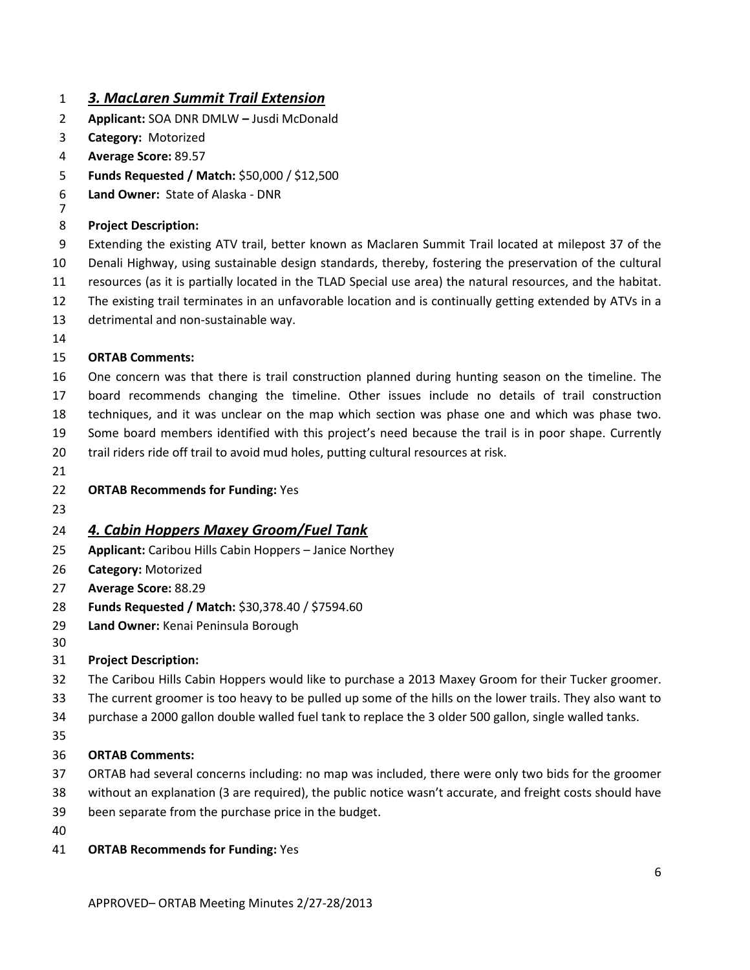#### *3. MacLaren Summit Trail Extension*

- **Applicant:** SOA DNR DMLW **–** Jusdi McDonald
- **Category:** Motorized
- **Average Score:** 89.57
- **Funds Requested / Match:** \$50,000 / \$12,500
- **Land Owner:** State of Alaska DNR
- 

#### **Project Description:**

 Extending the existing ATV trail, better known as Maclaren Summit Trail located at milepost 37 of the Denali Highway, using sustainable design standards, thereby, fostering the preservation of the cultural resources (as it is partially located in the TLAD Special use area) the natural resources, and the habitat.

- The existing trail terminates in an unfavorable location and is continually getting extended by ATVs in a
- detrimental and non-sustainable way.
- 

#### **ORTAB Comments:**

 One concern was that there is trail construction planned during hunting season on the timeline. The board recommends changing the timeline. Other issues include no details of trail construction

- techniques, and it was unclear on the map which section was phase one and which was phase two.
- Some board members identified with this project's need because the trail is in poor shape. Currently
- trail riders ride off trail to avoid mud holes, putting cultural resources at risk.
- 
- **ORTAB Recommends for Funding:** Yes
- 

### *4. Cabin Hoppers Maxey Groom/Fuel Tank*

- **Applicant:** Caribou Hills Cabin Hoppers Janice Northey
- **Category:** Motorized
- **Average Score:** 88.29
- **Funds Requested / Match:** \$30,378.40 / \$7594.60
- **Land Owner:** Kenai Peninsula Borough

#### **Project Description:**

- The Caribou Hills Cabin Hoppers would like to purchase a 2013 Maxey Groom for their Tucker groomer.
- The current groomer is too heavy to be pulled up some of the hills on the lower trails. They also want to
- purchase a 2000 gallon double walled fuel tank to replace the 3 older 500 gallon, single walled tanks.
- 

- ORTAB had several concerns including: no map was included, there were only two bids for the groomer
- without an explanation (3 are required), the public notice wasn't accurate, and freight costs should have
- been separate from the purchase price in the budget.
- 
- **ORTAB Recommends for Funding:** Yes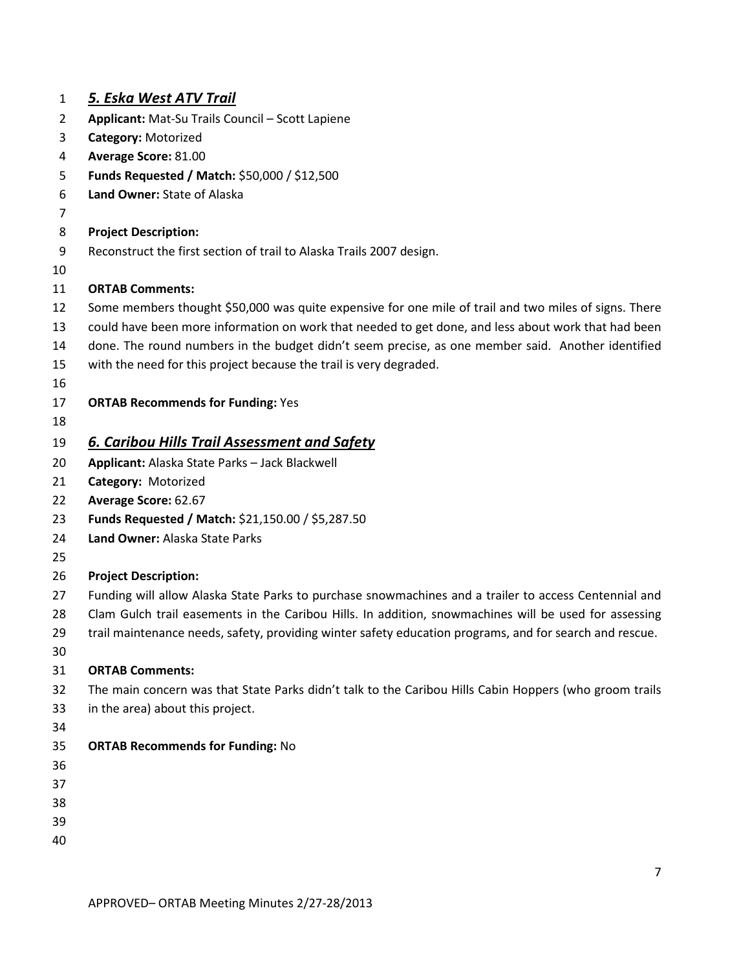| $\mathbf{1}$ | <u>5. Eska West ATV Trail</u>                                                                           |
|--------------|---------------------------------------------------------------------------------------------------------|
| 2            | Applicant: Mat-Su Trails Council - Scott Lapiene                                                        |
| 3            | Category: Motorized                                                                                     |
| 4            | Average Score: 81.00                                                                                    |
| 5            | Funds Requested / Match: \$50,000 / \$12,500                                                            |
| 6            | Land Owner: State of Alaska                                                                             |
| 7            |                                                                                                         |
| 8            | <b>Project Description:</b>                                                                             |
| 9            | Reconstruct the first section of trail to Alaska Trails 2007 design.                                    |
| 10           |                                                                                                         |
| 11           | <b>ORTAB Comments:</b>                                                                                  |
| 12           | Some members thought \$50,000 was quite expensive for one mile of trail and two miles of signs. There   |
| 13           | could have been more information on work that needed to get done, and less about work that had been     |
| 14           | done. The round numbers in the budget didn't seem precise, as one member said. Another identified       |
| 15           | with the need for this project because the trail is very degraded.                                      |
| 16           |                                                                                                         |
| 17           | <b>ORTAB Recommends for Funding: Yes</b>                                                                |
| 18           |                                                                                                         |
| 19           | 6. Caribou Hills Trail Assessment and Safety                                                            |
| 20           | Applicant: Alaska State Parks - Jack Blackwell                                                          |
| 21           | Category: Motorized                                                                                     |
| 22           | Average Score: 62.67                                                                                    |
| 23           | Funds Requested / Match: \$21,150.00 / \$5,287.50                                                       |
| 24           | Land Owner: Alaska State Parks                                                                          |
| 25           |                                                                                                         |
| 26           | <b>Project Description:</b>                                                                             |
| 27           | Funding will allow Alaska State Parks to purchase snowmachines and a trailer to access Centennial and   |
| 28           | Clam Gulch trail easements in the Caribou Hills. In addition, snowmachines will be used for assessing   |
| 29           | trail maintenance needs, safety, providing winter safety education programs, and for search and rescue. |
| 30           |                                                                                                         |
| 31           | <b>ORTAB Comments:</b>                                                                                  |
| 32           | The main concern was that State Parks didn't talk to the Caribou Hills Cabin Hoppers (who groom trails  |
| 33           | in the area) about this project.                                                                        |
| 34           |                                                                                                         |
| 35           | <b>ORTAB Recommends for Funding: No</b>                                                                 |
| 36           |                                                                                                         |
| 37           |                                                                                                         |
| 38           |                                                                                                         |
| 39           |                                                                                                         |
| 40           |                                                                                                         |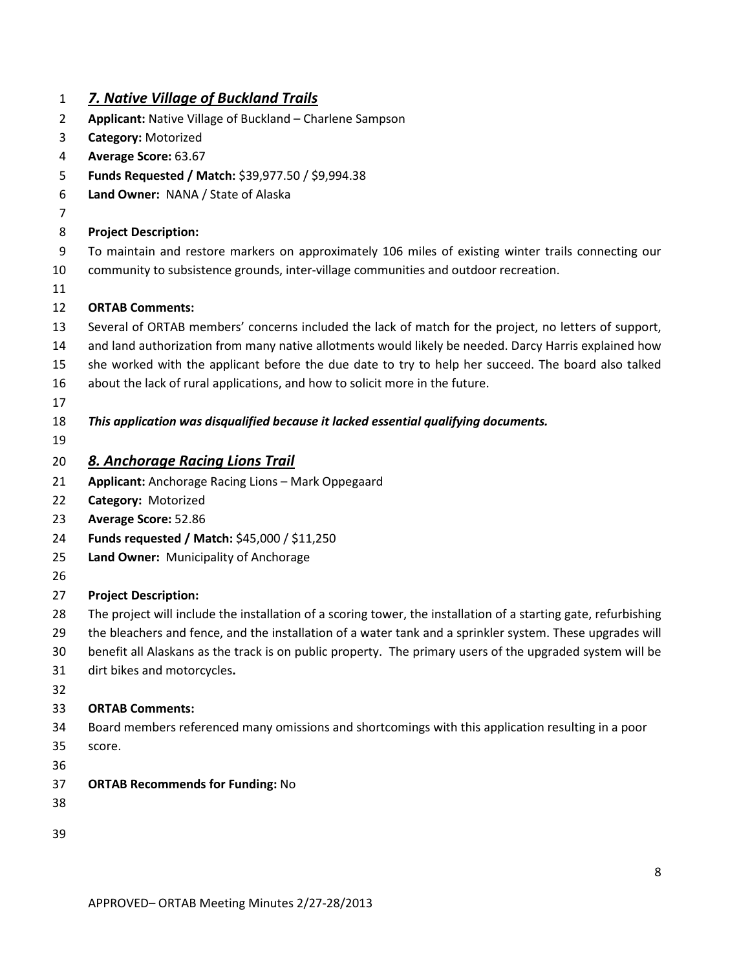### *7. Native Village of Buckland Trails*

- **Applicant:** Native Village of Buckland Charlene Sampson
- **Category:** Motorized
- **Average Score:** 63.67
- **Funds Requested / Match:** \$39,977.50 / \$9,994.38
- **Land Owner:** NANA / State of Alaska
- 

#### **Project Description:**

- To maintain and restore markers on approximately 106 miles of existing winter trails connecting our
- community to subsistence grounds, inter-village communities and outdoor recreation.
- 

#### **ORTAB Comments:**

- Several of ORTAB members' concerns included the lack of match for the project, no letters of support,
- and land authorization from many native allotments would likely be needed. Darcy Harris explained how
- she worked with the applicant before the due date to try to help her succeed. The board also talked
- about the lack of rural applications, and how to solicit more in the future.
- 

#### *This application was disqualified because it lacked essential qualifying documents.*

- *8. Anchorage Racing Lions Trail*
- **Applicant:** Anchorage Racing Lions Mark Oppegaard
- **Category:** Motorized
- **Average Score:** 52.86
- **Funds requested / Match:** \$45,000 / \$11,250
- **Land Owner:** Municipality of Anchorage
- 

#### **Project Description:**

- 28 The project will include the installation of a scoring tower, the installation of a starting gate, refurbishing
- the bleachers and fence, and the installation of a water tank and a sprinkler system. These upgrades will
- benefit all Alaskans as the track is on public property. The primary users of the upgraded system will be
- dirt bikes and motorcycles**.**
- 

- Board members referenced many omissions and shortcomings with this application resulting in a poor score.
- 
- **ORTAB Recommends for Funding:** No
- 
-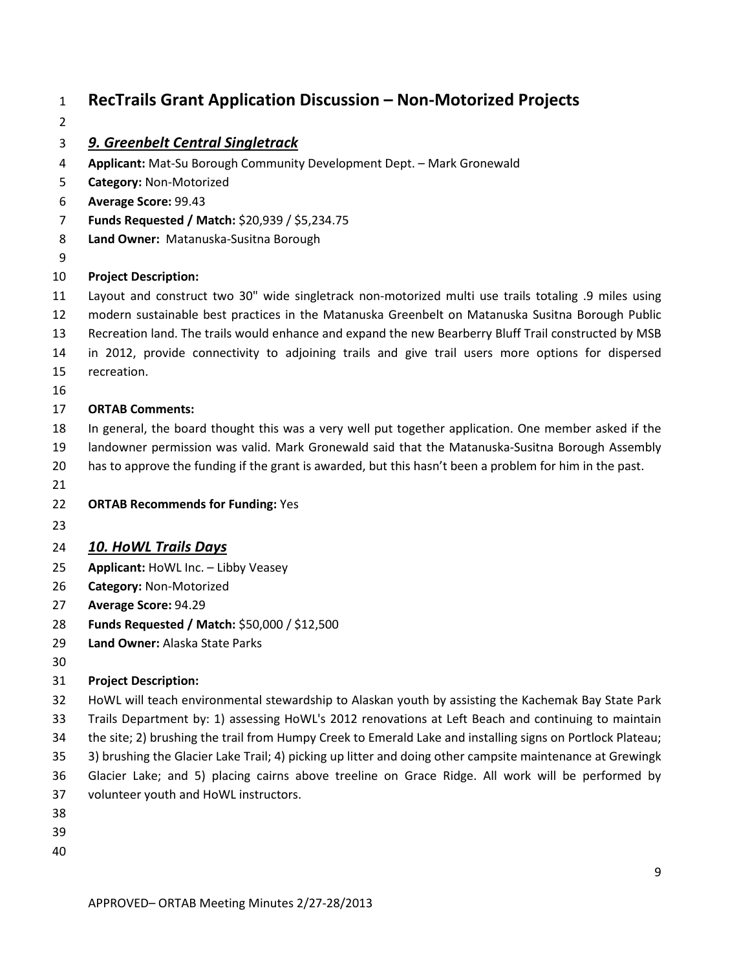# **RecTrails Grant Application Discussion – Non-Motorized Projects**

#### *9. Greenbelt Central Singletrack*

- **Applicant:** Mat-Su Borough Community Development Dept. Mark Gronewald
- **Category:** Non-Motorized
- **Average Score:** 99.43
- **Funds Requested / Match:** \$20,939 / \$5,234.75
- **Land Owner:** Matanuska-Susitna Borough
- 

#### **Project Description:**

- Layout and construct two 30" wide singletrack non-motorized multi use trails totaling .9 miles using
- modern sustainable best practices in the Matanuska Greenbelt on Matanuska Susitna Borough Public
- Recreation land. The trails would enhance and expand the new Bearberry Bluff Trail constructed by MSB
- in 2012, provide connectivity to adjoining trails and give trail users more options for dispersed recreation.
- 

#### **ORTAB Comments:**

- In general, the board thought this was a very well put together application. One member asked if the landowner permission was valid. Mark Gronewald said that the Matanuska-Susitna Borough Assembly
- has to approve the funding if the grant is awarded, but this hasn't been a problem for him in the past.
- 
- **ORTAB Recommends for Funding:** Yes
- 

#### *10. HoWL Trails Days*

- **Applicant:** HoWL Inc. Libby Veasey
- **Category:** Non-Motorized
- **Average Score:** 94.29
- **Funds Requested / Match:** \$50,000 / \$12,500
- **Land Owner:** Alaska State Parks
- 

#### **Project Description:**

- HoWL will teach environmental stewardship to Alaskan youth by assisting the Kachemak Bay State Park
- Trails Department by: 1) assessing HoWL's 2012 renovations at Left Beach and continuing to maintain
- the site; 2) brushing the trail from Humpy Creek to Emerald Lake and installing signs on Portlock Plateau;
- 3) brushing the Glacier Lake Trail; 4) picking up litter and doing other campsite maintenance at Grewingk
- Glacier Lake; and 5) placing cairns above treeline on Grace Ridge. All work will be performed by
- volunteer youth and HoWL instructors.
- 
- 
-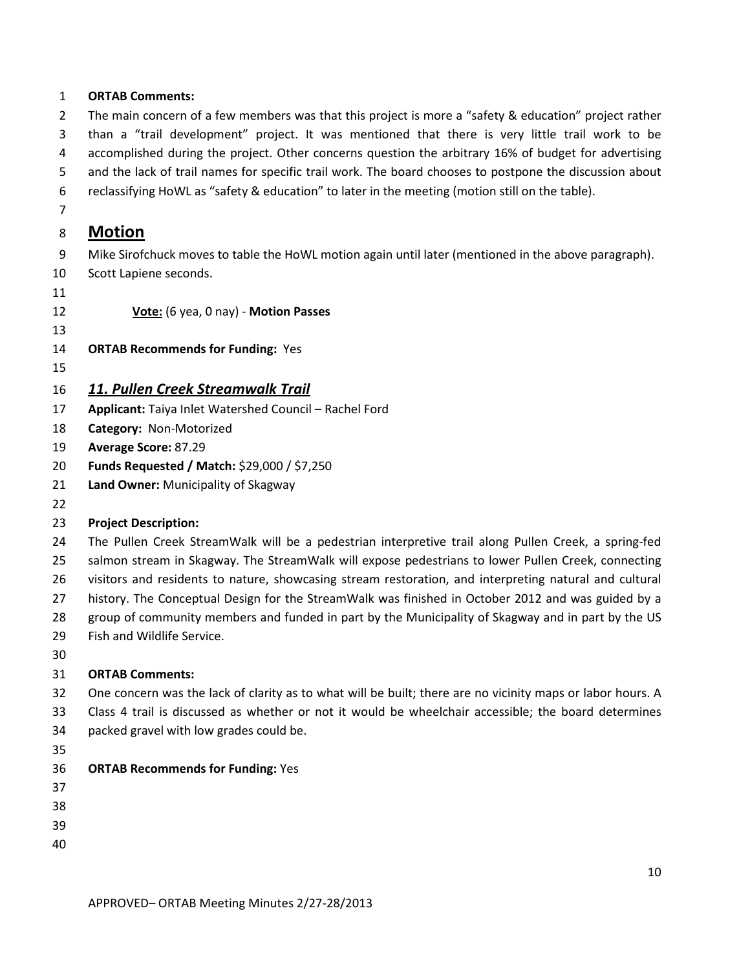#### **ORTAB Comments:**

 The main concern of a few members was that this project is more a "safety & education" project rather than a "trail development" project. It was mentioned that there is very little trail work to be accomplished during the project. Other concerns question the arbitrary 16% of budget for advertising and the lack of trail names for specific trail work. The board chooses to postpone the discussion about

reclassifying HoWL as "safety & education" to later in the meeting (motion still on the table).

# 

### **Motion**

Mike Sirofchuck moves to table the HoWL motion again until later (mentioned in the above paragraph).

- Scott Lapiene seconds.
- 

**Vote:** (6 yea, 0 nay) - **Motion Passes**

- **ORTAB Recommends for Funding:** Yes
- 

### *11. Pullen Creek Streamwalk Trail*

- **Applicant:** Taiya Inlet Watershed Council Rachel Ford
- **Category:** Non-Motorized
- **Average Score:** 87.29
- **Funds Requested / Match:** \$29,000 / \$7,250
- **Land Owner:** Municipality of Skagway
- 

#### **Project Description:**

 The Pullen Creek StreamWalk will be a pedestrian interpretive trail along Pullen Creek, a spring-fed salmon stream in Skagway. The StreamWalk will expose pedestrians to lower Pullen Creek, connecting visitors and residents to nature, showcasing stream restoration, and interpreting natural and cultural history. The Conceptual Design for the StreamWalk was finished in October 2012 and was guided by a group of community members and funded in part by the Municipality of Skagway and in part by the US Fish and Wildlife Service.

- One concern was the lack of clarity as to what will be built; there are no vicinity maps or labor hours. A Class 4 trail is discussed as whether or not it would be wheelchair accessible; the board determines packed gravel with low grades could be.
- 
- **ORTAB Recommends for Funding:** Yes
- 
- 
- 
-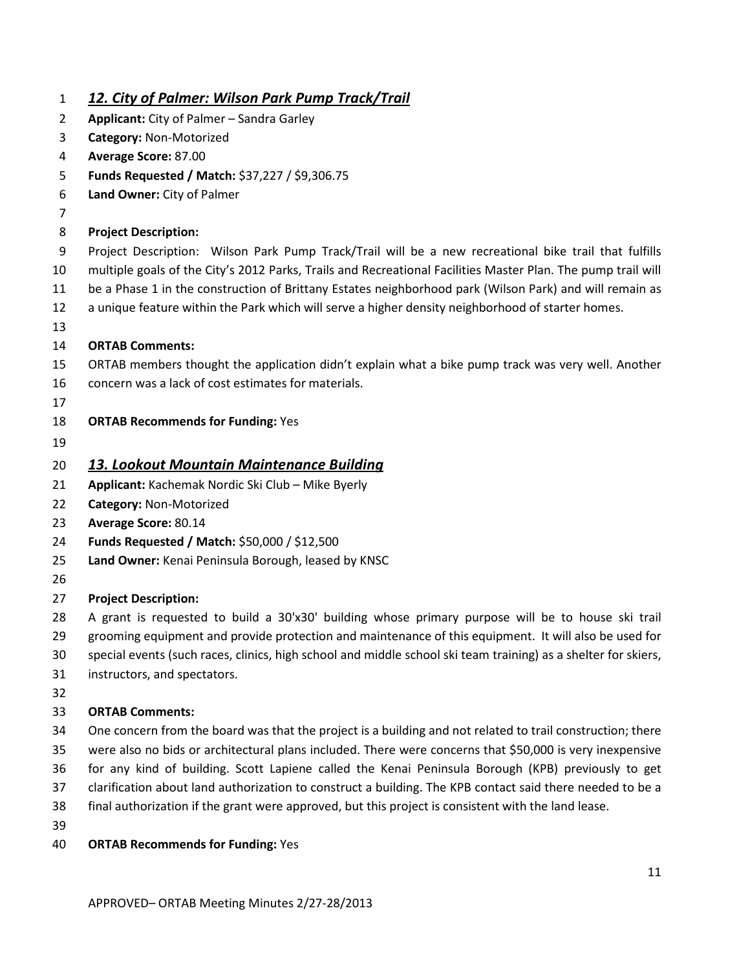| $\mathbf{1}$   | <u>12. City of Palmer: Wilson Park Pump Track/Trail</u>                                                        |
|----------------|----------------------------------------------------------------------------------------------------------------|
| $\overline{2}$ | Applicant: City of Palmer - Sandra Garley                                                                      |
| 3              | Category: Non-Motorized                                                                                        |
| 4              | Average Score: 87.00                                                                                           |
| 5              | Funds Requested / Match: \$37,227 / \$9,306.75                                                                 |
| 6              | Land Owner: City of Palmer                                                                                     |
| 7              |                                                                                                                |
| 8              | <b>Project Description:</b>                                                                                    |
| 9              | Project Description: Wilson Park Pump Track/Trail will be a new recreational bike trail that fulfills          |
| 10             | multiple goals of the City's 2012 Parks, Trails and Recreational Facilities Master Plan. The pump trail will   |
| 11             | be a Phase 1 in the construction of Brittany Estates neighborhood park (Wilson Park) and will remain as        |
| 12             | a unique feature within the Park which will serve a higher density neighborhood of starter homes.              |
| 13             |                                                                                                                |
| 14             | <b>ORTAB Comments:</b>                                                                                         |
| 15             | ORTAB members thought the application didn't explain what a bike pump track was very well. Another             |
| 16             | concern was a lack of cost estimates for materials.                                                            |
| 17             |                                                                                                                |
| 18             | <b>ORTAB Recommends for Funding: Yes</b>                                                                       |
| 19             |                                                                                                                |
| 20             | 13. Lookout Mountain Maintenance Building                                                                      |
| 21             | Applicant: Kachemak Nordic Ski Club - Mike Byerly                                                              |
| 22             | Category: Non-Motorized                                                                                        |
| 23             | <b>Average Score: 80.14</b>                                                                                    |
| 24             | Funds Requested / Match: \$50,000 / \$12,500                                                                   |
| 25             | Land Owner: Kenai Peninsula Borough, leased by KNSC                                                            |
| 26             |                                                                                                                |
| 27             | <b>Project Description:</b>                                                                                    |
| 28             | A grant is requested to build a 30'x30' building whose primary purpose will be to house ski trail              |
| 29             | grooming equipment and provide protection and maintenance of this equipment. It will also be used for          |
| 30             | special events (such races, clinics, high school and middle school ski team training) as a shelter for skiers, |
| 31             | instructors, and spectators.                                                                                   |
| 32             |                                                                                                                |
| 33             | <b>ORTAB Comments:</b>                                                                                         |
| 34             | One concern from the board was that the project is a building and not related to trail construction; there     |
| 35             | were also no bids or architectural plans included. There were concerns that \$50,000 is very inexpensive       |
| 36             | for any kind of building. Scott Lapiene called the Kenai Peninsula Borough (KPB) previously to get             |
| 37             | clarification about land authorization to construct a building. The KPB contact said there needed to be a      |
| 38             | final authorization if the grant were approved, but this project is consistent with the land lease.            |
| 39             |                                                                                                                |
| 40             | <b>ORTAB Recommends for Funding: Yes</b>                                                                       |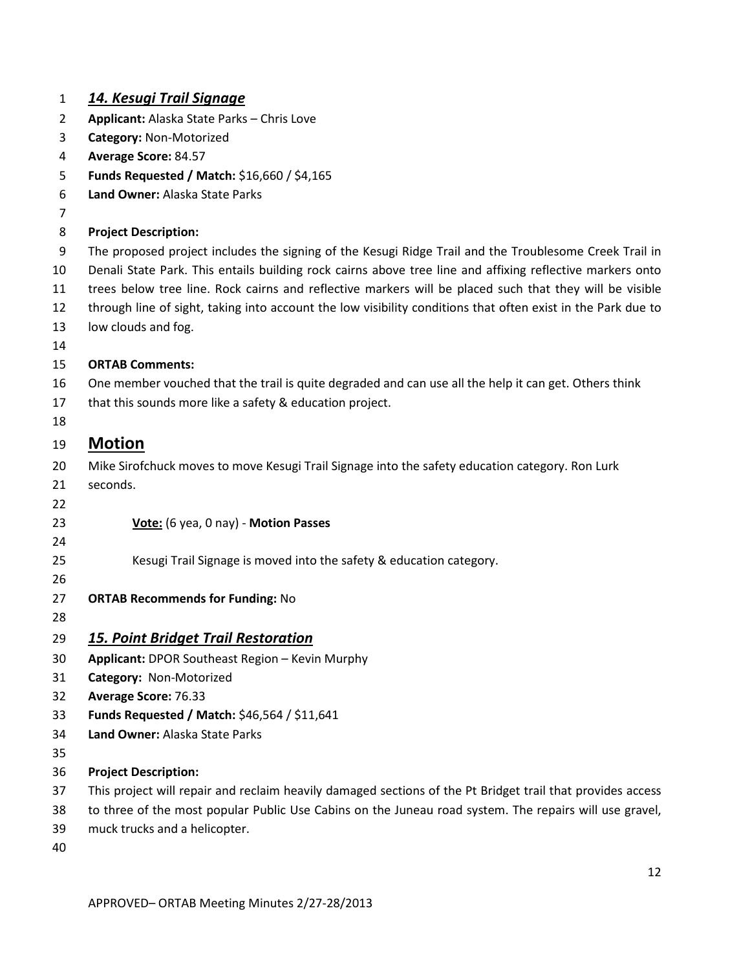| $\mathbf{1}$   | <u> 14. Kesugi Trail Signage</u>                                                                             |
|----------------|--------------------------------------------------------------------------------------------------------------|
| $\overline{2}$ | Applicant: Alaska State Parks - Chris Love                                                                   |
| 3              | Category: Non-Motorized                                                                                      |
| 4              | Average Score: 84.57                                                                                         |
| 5              | Funds Requested / Match: \$16,660 / \$4,165                                                                  |
| 6              | Land Owner: Alaska State Parks                                                                               |
| 7              |                                                                                                              |
| 8              | <b>Project Description:</b>                                                                                  |
| 9              | The proposed project includes the signing of the Kesugi Ridge Trail and the Troublesome Creek Trail in       |
| 10             | Denali State Park. This entails building rock cairns above tree line and affixing reflective markers onto    |
| 11             | trees below tree line. Rock cairns and reflective markers will be placed such that they will be visible      |
| 12             | through line of sight, taking into account the low visibility conditions that often exist in the Park due to |
| 13             | low clouds and fog.                                                                                          |
| 14             |                                                                                                              |
| 15             | <b>ORTAB Comments:</b>                                                                                       |
| 16             | One member vouched that the trail is quite degraded and can use all the help it can get. Others think        |
| 17             | that this sounds more like a safety & education project.                                                     |
| 18             |                                                                                                              |
| 19             | <b>Motion</b>                                                                                                |
| 20             | Mike Sirofchuck moves to move Kesugi Trail Signage into the safety education category. Ron Lurk              |
| 21             | seconds.                                                                                                     |
| 22             |                                                                                                              |
| 23             | Vote: (6 yea, 0 nay) - Motion Passes                                                                         |
| 24             |                                                                                                              |
| 25             | Kesugi Trail Signage is moved into the safety & education category.                                          |
| 26             |                                                                                                              |
| 27             | <b>ORTAB Recommends for Funding: No</b>                                                                      |
| 28             |                                                                                                              |
| 29             | <u> 15. Point Bridget Trail Restoration</u>                                                                  |
| 30             | Applicant: DPOR Southeast Region - Kevin Murphy                                                              |
| 31             | Category: Non-Motorized                                                                                      |
| 32             | Average Score: 76.33                                                                                         |
| 33             | Funds Requested / Match: \$46,564 / \$11,641                                                                 |
| 34             | Land Owner: Alaska State Parks                                                                               |
| 35             |                                                                                                              |
| 36             | <b>Project Description:</b>                                                                                  |
| 37             | This project will repair and reclaim heavily damaged sections of the Pt Bridget trail that provides access   |
| 38             | to three of the most popular Public Use Cabins on the Juneau road system. The repairs will use gravel,       |
| 39             | muck trucks and a helicopter.                                                                                |
| 40             |                                                                                                              |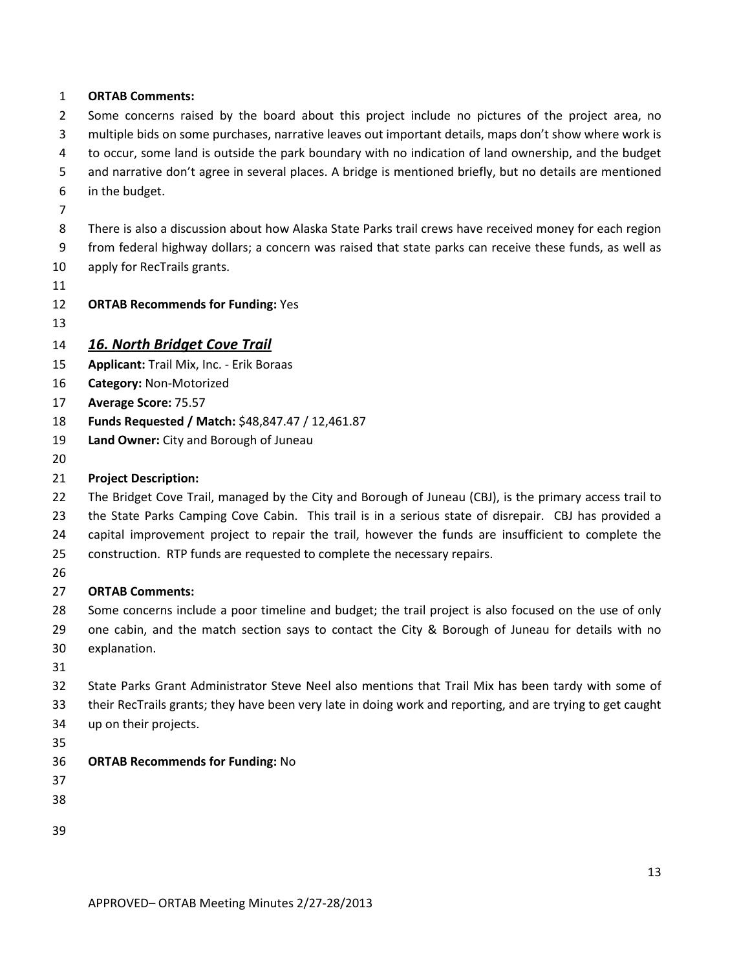#### **ORTAB Comments:**

2 Some concerns raised by the board about this project include no pictures of the project area, no multiple bids on some purchases, narrative leaves out important details, maps don't show where work is to occur, some land is outside the park boundary with no indication of land ownership, and the budget

and narrative don't agree in several places. A bridge is mentioned briefly, but no details are mentioned

- in the budget.
- 

 There is also a discussion about how Alaska State Parks trail crews have received money for each region from federal highway dollars; a concern was raised that state parks can receive these funds, as well as

- apply for RecTrails grants.
- 

**ORTAB Recommends for Funding:** Yes

#### *16. North Bridget Cove Trail*

- **Applicant:** Trail Mix, Inc. Erik Boraas
- **Category:** Non-Motorized
- **Average Score:** 75.57
- **Funds Requested / Match:** \$48,847.47 / 12,461.87
- **Land Owner:** City and Borough of Juneau
- 

#### **Project Description:**

 The Bridget Cove Trail, managed by the City and Borough of Juneau (CBJ), is the primary access trail to the State Parks Camping Cove Cabin. This trail is in a serious state of disrepair. CBJ has provided a capital improvement project to repair the trail, however the funds are insufficient to complete the

- construction. RTP funds are requested to complete the necessary repairs.
- 

#### **ORTAB Comments:**

 Some concerns include a poor timeline and budget; the trail project is also focused on the use of only 29 one cabin, and the match section says to contact the City & Borough of Juneau for details with no explanation.

 State Parks Grant Administrator Steve Neel also mentions that Trail Mix has been tardy with some of their RecTrails grants; they have been very late in doing work and reporting, and are trying to get caught up on their projects.

#### **ORTAB Recommends for Funding:** No

- 
- 
- 
-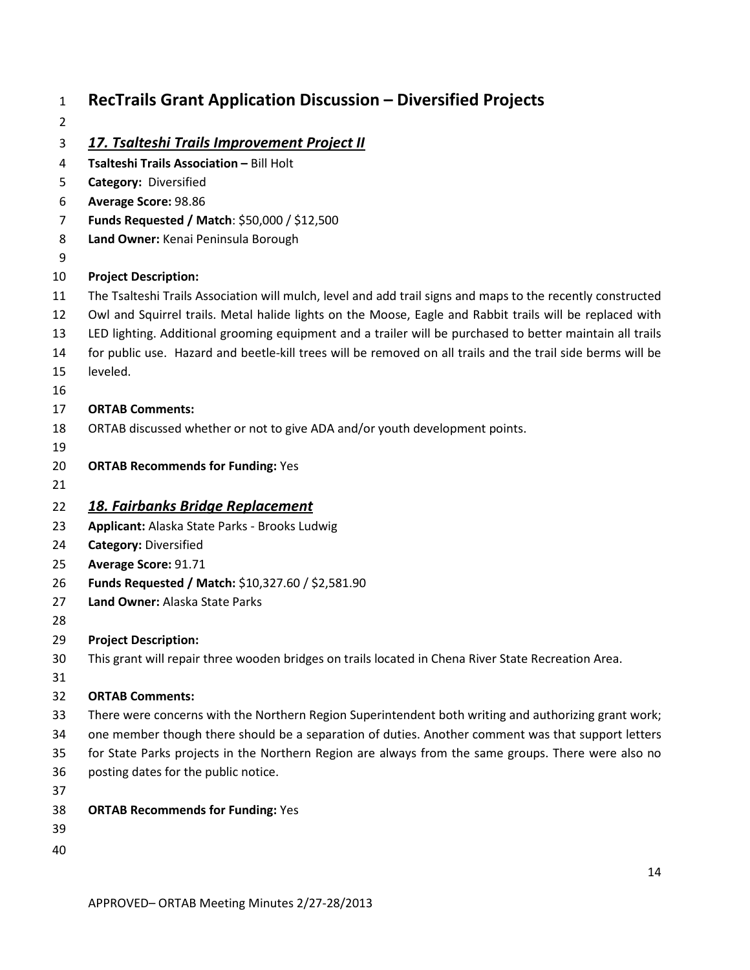### **RecTrails Grant Application Discussion – Diversified Projects** *17. Tsalteshi Trails Improvement Project II* **Tsalteshi Trails Association –** Bill Holt **Category:** Diversified **Average Score:** 98.86 **Funds Requested / Match**: \$50,000 / \$12,500 **Land Owner:** Kenai Peninsula Borough **Project Description:** The Tsalteshi Trails Association will mulch, level and add trail signs and maps to the recently constructed Owl and Squirrel trails. Metal halide lights on the Moose, Eagle and Rabbit trails will be replaced with LED lighting. Additional grooming equipment and a trailer will be purchased to better maintain all trails for public use. Hazard and beetle-kill trees will be removed on all trails and the trail side berms will be leveled. **ORTAB Comments:** ORTAB discussed whether or not to give ADA and/or youth development points. **ORTAB Recommends for Funding:** Yes *18. Fairbanks Bridge Replacement* **Applicant:** Alaska State Parks - Brooks Ludwig **Category:** Diversified **Average Score:** 91.71 **Funds Requested / Match:** \$10,327.60 / \$2,581.90 **Land Owner:** Alaska State Parks **Project Description:** This grant will repair three wooden bridges on trails located in Chena River State Recreation Area. **ORTAB Comments:** There were concerns with the Northern Region Superintendent both writing and authorizing grant work; one member though there should be a separation of duties. Another comment was that support letters for State Parks projects in the Northern Region are always from the same groups. There were also no posting dates for the public notice. **ORTAB Recommends for Funding:** Yes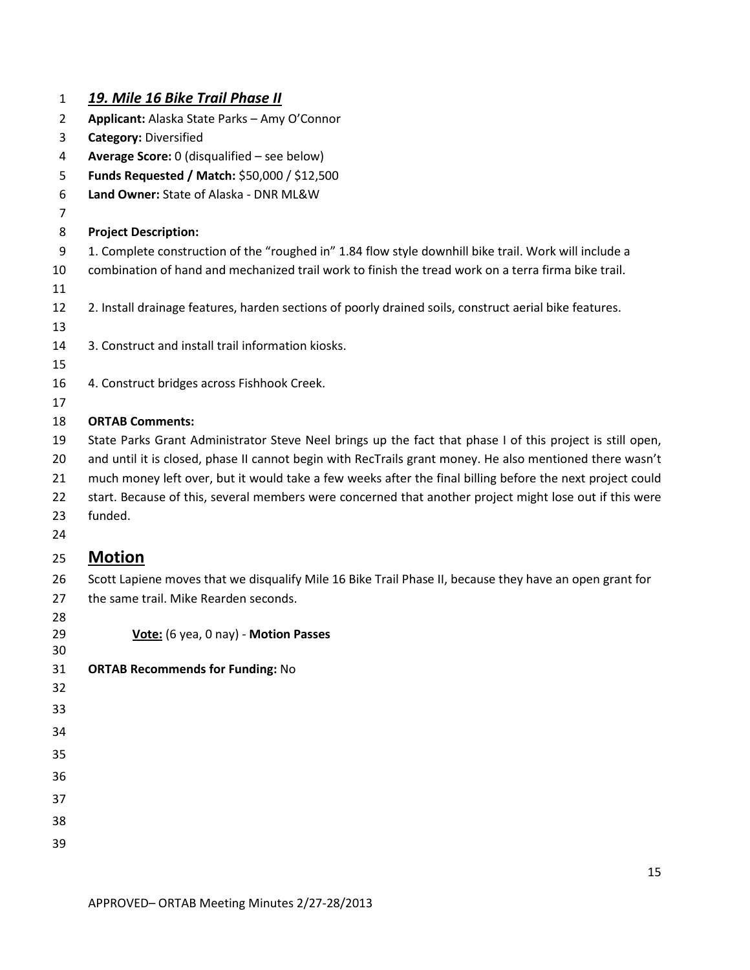| 1              | <u> 19. Mile 16 Bike Trail Phase II</u>                                                                   |
|----------------|-----------------------------------------------------------------------------------------------------------|
| $\overline{2}$ | Applicant: Alaska State Parks - Amy O'Connor                                                              |
| 3              | <b>Category: Diversified</b>                                                                              |
| 4              | Average Score: 0 (disqualified - see below)                                                               |
| 5              | Funds Requested / Match: \$50,000 / \$12,500                                                              |
| 6              | Land Owner: State of Alaska - DNR ML&W                                                                    |
| 7              |                                                                                                           |
| 8              | <b>Project Description:</b>                                                                               |
| 9              | 1. Complete construction of the "roughed in" 1.84 flow style downhill bike trail. Work will include a     |
| 10             | combination of hand and mechanized trail work to finish the tread work on a terra firma bike trail.       |
| 11             |                                                                                                           |
| 12             | 2. Install drainage features, harden sections of poorly drained soils, construct aerial bike features.    |
| 13             |                                                                                                           |
| 14             | 3. Construct and install trail information kiosks.                                                        |
| 15             |                                                                                                           |
| 16             | 4. Construct bridges across Fishhook Creek.                                                               |
| 17             |                                                                                                           |
| 18             | <b>ORTAB Comments:</b>                                                                                    |
| 19             | State Parks Grant Administrator Steve Neel brings up the fact that phase I of this project is still open, |
| 20             | and until it is closed, phase II cannot begin with RecTrails grant money. He also mentioned there wasn't  |
| 21             | much money left over, but it would take a few weeks after the final billing before the next project could |
| 22             | start. Because of this, several members were concerned that another project might lose out if this were   |
| 23             | funded.                                                                                                   |
| 24             |                                                                                                           |
| 25             | <b>Motion</b>                                                                                             |
| 26             | Scott Lapiene moves that we disqualify Mile 16 Bike Trail Phase II, because they have an open grant for   |
| 27             | the same trail. Mike Rearden seconds.                                                                     |
| 28             |                                                                                                           |
| 29             | Vote: (6 yea, 0 nay) - Motion Passes                                                                      |
| 30             |                                                                                                           |
| 31             | <b>ORTAB Recommends for Funding: No</b>                                                                   |
| 32             |                                                                                                           |
| 33             |                                                                                                           |
| 34             |                                                                                                           |
| 35             |                                                                                                           |
| 36             |                                                                                                           |
| 37             |                                                                                                           |
| 38             |                                                                                                           |
|                |                                                                                                           |
| 39             |                                                                                                           |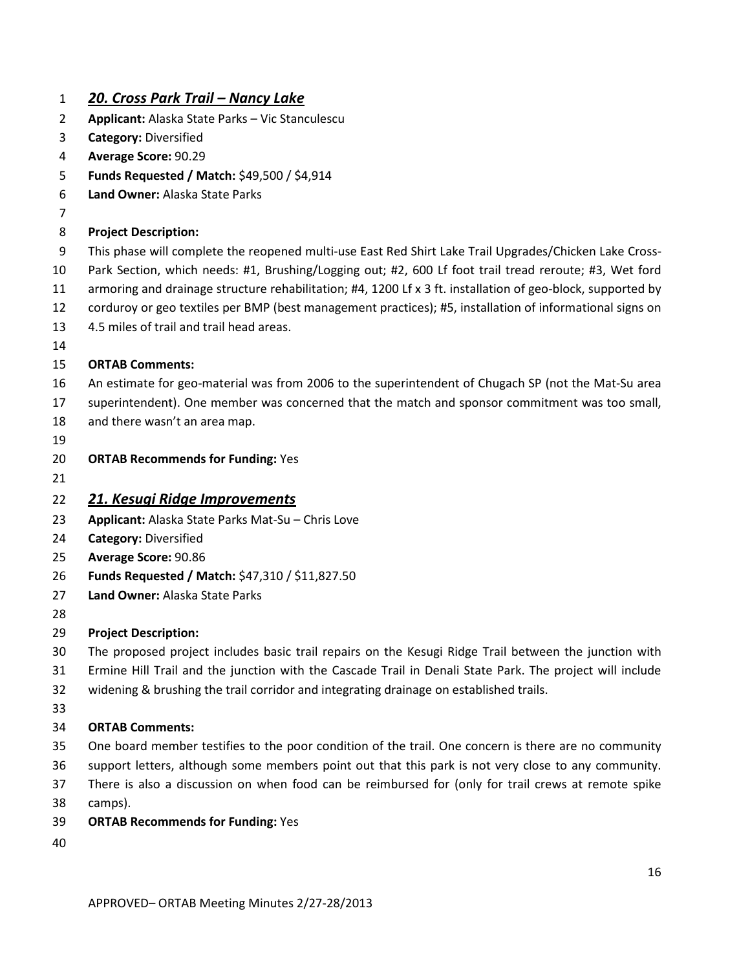| $\mathbf{1}$ | <u> 20. Cross Park Trail – Nancy Lake</u>                                                                   |
|--------------|-------------------------------------------------------------------------------------------------------------|
| 2            | Applicant: Alaska State Parks - Vic Stanculescu                                                             |
| 3            | <b>Category: Diversified</b>                                                                                |
| 4            | Average Score: 90.29                                                                                        |
| 5            | Funds Requested / Match: \$49,500 / \$4,914                                                                 |
| 6            | Land Owner: Alaska State Parks                                                                              |
| 7            |                                                                                                             |
| 8            | <b>Project Description:</b>                                                                                 |
| 9            | This phase will complete the reopened multi-use East Red Shirt Lake Trail Upgrades/Chicken Lake Cross-      |
| 10           | Park Section, which needs: #1, Brushing/Logging out; #2, 600 Lf foot trail tread reroute; #3, Wet ford      |
| 11           | armoring and drainage structure rehabilitation; #4, 1200 Lf x 3 ft. installation of geo-block, supported by |
| 12           | corduroy or geo textiles per BMP (best management practices); #5, installation of informational signs on    |
| 13           | 4.5 miles of trail and trail head areas.                                                                    |
| 14           |                                                                                                             |
| 15           | <b>ORTAB Comments:</b>                                                                                      |
| 16           | An estimate for geo-material was from 2006 to the superintendent of Chugach SP (not the Mat-Su area         |
| 17           | superintendent). One member was concerned that the match and sponsor commitment was too small,              |
| 18           | and there wasn't an area map.                                                                               |
| 19           |                                                                                                             |
| 20           | <b>ORTAB Recommends for Funding: Yes</b>                                                                    |
| 21           |                                                                                                             |
| 22           | 21. Kesugi Ridge Improvements                                                                               |
| 23           | Applicant: Alaska State Parks Mat-Su - Chris Love                                                           |
| 24           | <b>Category: Diversified</b>                                                                                |
| 25           | Average Score: 90.86                                                                                        |
| 26           | Funds Requested / Match: \$47,310 / \$11,827.50                                                             |
| 27           | Land Owner: Alaska State Parks                                                                              |
| 28           |                                                                                                             |
| 29           | <b>Project Description:</b>                                                                                 |
| 30           | The proposed project includes basic trail repairs on the Kesugi Ridge Trail between the junction with       |
| 31           | Ermine Hill Trail and the junction with the Cascade Trail in Denali State Park. The project will include    |
| 32           | widening & brushing the trail corridor and integrating drainage on established trails.                      |
| 33           |                                                                                                             |
| 34           | <b>ORTAB Comments:</b>                                                                                      |
| 35           | One board member testifies to the poor condition of the trail. One concern is there are no community        |
| 36           | support letters, although some members point out that this park is not very close to any community.         |
| 37           | There is also a discussion on when food can be reimbursed for (only for trail crews at remote spike         |
| 38           | camps).                                                                                                     |
| 39           | <b>ORTAB Recommends for Funding: Yes</b>                                                                    |
| 40           |                                                                                                             |
|              |                                                                                                             |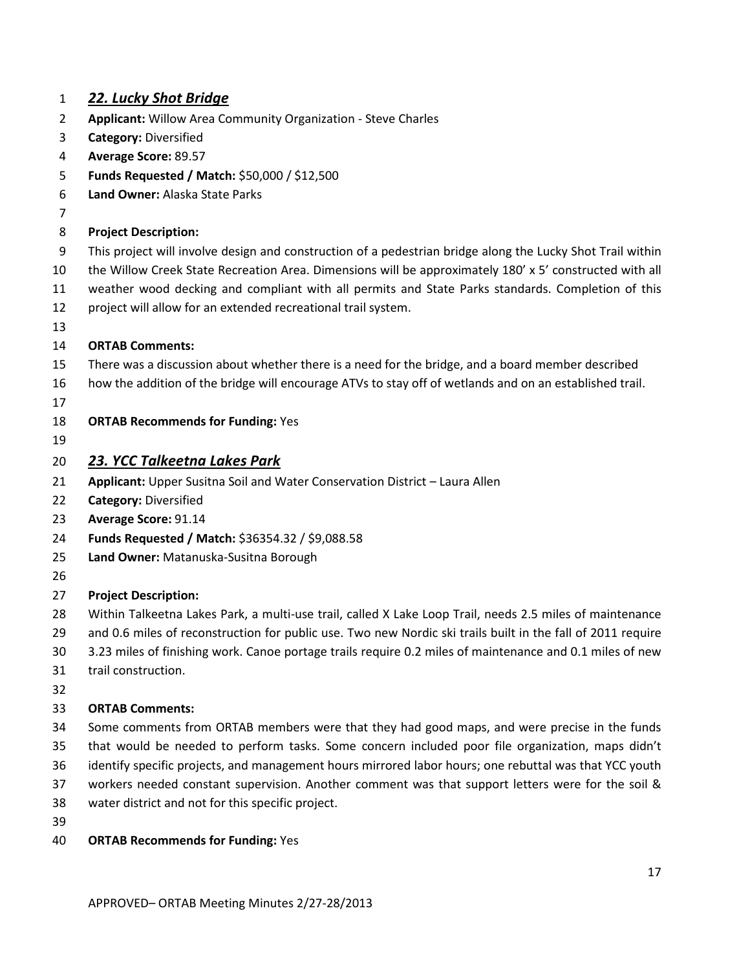### *22. Lucky Shot Bridge* **Applicant:** Willow Area Community Organization - Steve Charles **Category:** Diversified **Average Score:** 89.57 **Funds Requested / Match:** \$50,000 / \$12,500 **Land Owner:** Alaska State Parks **Project Description:**  This project will involve design and construction of a pedestrian bridge along the Lucky Shot Trail within the Willow Creek State Recreation Area. Dimensions will be approximately 180' x 5' constructed with all weather wood decking and compliant with all permits and State Parks standards. Completion of this project will allow for an extended recreational trail system. **ORTAB Comments:** There was a discussion about whether there is a need for the bridge, and a board member described how the addition of the bridge will encourage ATVs to stay off of wetlands and on an established trail. **ORTAB Recommends for Funding:** Yes *23. YCC Talkeetna Lakes Park* **Applicant:** Upper Susitna Soil and Water Conservation District – Laura Allen **Category:** Diversified **Average Score:** 91.14 **Funds Requested / Match:** \$36354.32 / \$9,088.58 **Land Owner:** Matanuska-Susitna Borough **Project Description:**  Within Talkeetna Lakes Park, a multi-use trail, called X Lake Loop Trail, needs 2.5 miles of maintenance and 0.6 miles of reconstruction for public use. Two new Nordic ski trails built in the fall of 2011 require 3.23 miles of finishing work. Canoe portage trails require 0.2 miles of maintenance and 0.1 miles of new trail construction. **ORTAB Comments:** Some comments from ORTAB members were that they had good maps, and were precise in the funds that would be needed to perform tasks. Some concern included poor file organization, maps didn't identify specific projects, and management hours mirrored labor hours; one rebuttal was that YCC youth workers needed constant supervision. Another comment was that support letters were for the soil & water district and not for this specific project. **ORTAB Recommends for Funding:** Yes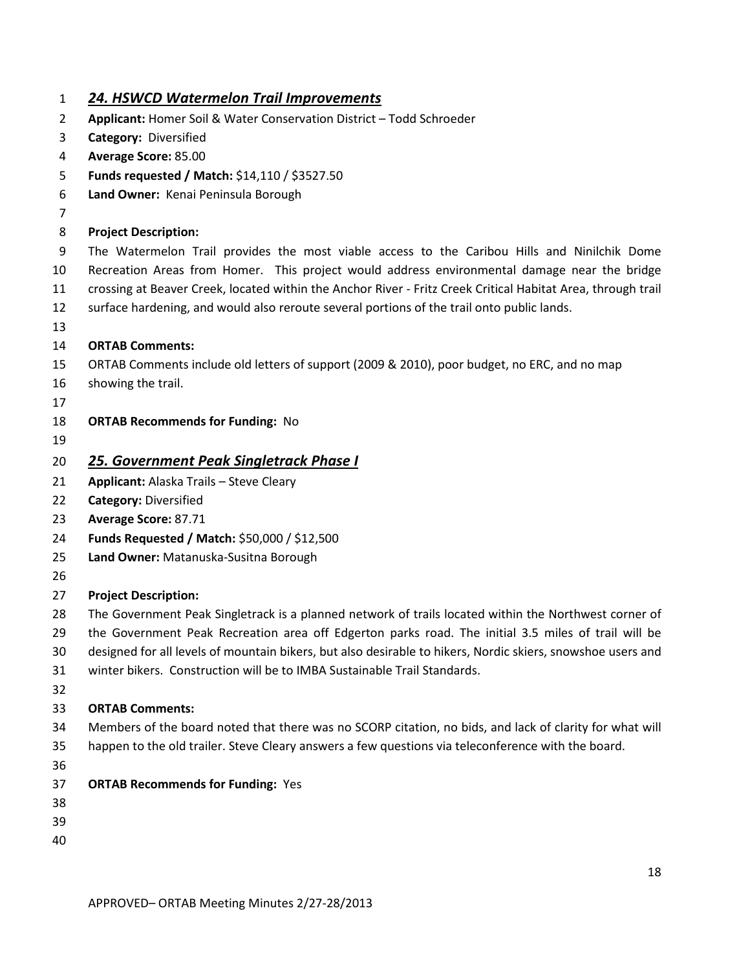#### *24. HSWCD Watermelon Trail Improvements*

- **Applicant:** Homer Soil & Water Conservation District Todd Schroeder
- **Category:** Diversified
- **Average Score:** 85.00
- **Funds requested / Match:** \$14,110 / \$3527.50
- **Land Owner:** Kenai Peninsula Borough
- 

#### **Project Description:**

 The Watermelon Trail provides the most viable access to the Caribou Hills and Ninilchik Dome Recreation Areas from Homer. This project would address environmental damage near the bridge crossing at Beaver Creek, located within the Anchor River - Fritz Creek Critical Habitat Area, through trail surface hardening, and would also reroute several portions of the trail onto public lands.

#### **ORTAB Comments:**

- ORTAB Comments include old letters of support (2009 & 2010), poor budget, no ERC, and no map
- showing the trail.
- 
- **ORTAB Recommends for Funding:** No
- 

#### *25. Government Peak Singletrack Phase I*

- **Applicant:** Alaska Trails Steve Cleary
- **Category:** Diversified
- **Average Score:** 87.71
- **Funds Requested / Match:** \$50,000 / \$12,500
- **Land Owner:** Matanuska-Susitna Borough
- 

#### **Project Description:**

- The Government Peak Singletrack is a planned network of trails located within the Northwest corner of
- the Government Peak Recreation area off Edgerton parks road. The initial 3.5 miles of trail will be
- designed for all levels of mountain bikers, but also desirable to hikers, Nordic skiers, snowshoe users and
- winter bikers. Construction will be to IMBA Sustainable Trail Standards.
- 

- Members of the board noted that there was no SCORP citation, no bids, and lack of clarity for what will happen to the old trailer. Steve Cleary answers a few questions via teleconference with the board.
- 
- **ORTAB Recommends for Funding:** Yes
- 
- 
-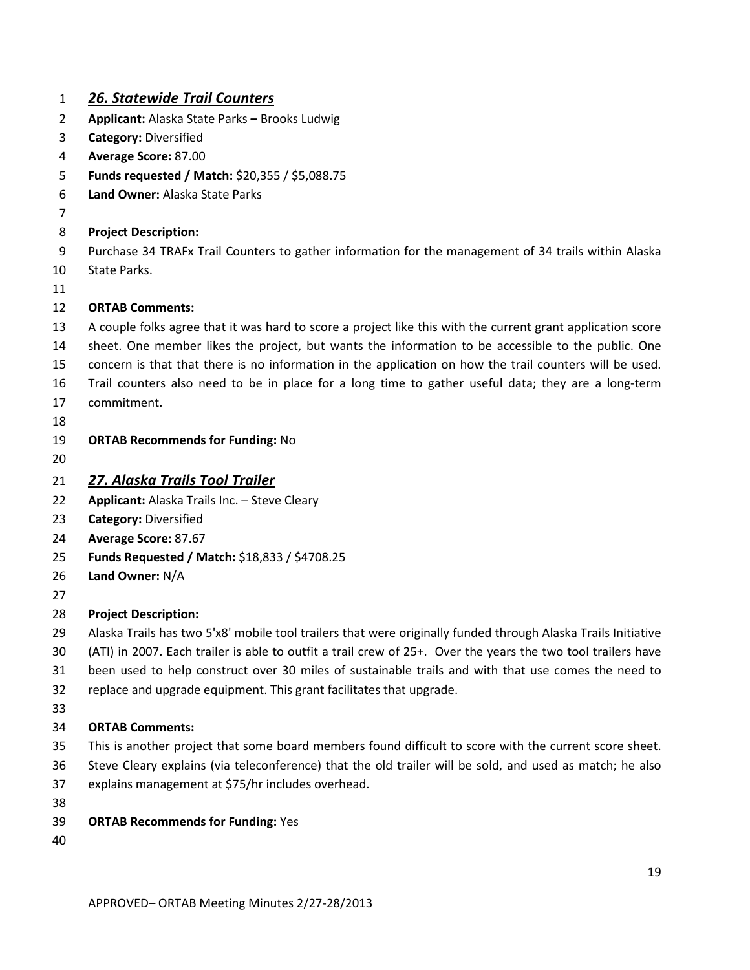### *26. Statewide Trail Counters*

- **Applicant:** Alaska State Parks **–** Brooks Ludwig
- **Category:** Diversified
- **Average Score:** 87.00
- **Funds requested / Match:** \$20,355 / \$5,088.75
- **Land Owner:** Alaska State Parks
- 

#### **Project Description:**

- Purchase 34 TRAFx Trail Counters to gather information for the management of 34 trails within Alaska
- State Parks.
- 

#### **ORTAB Comments:**

A couple folks agree that it was hard to score a project like this with the current grant application score

- sheet. One member likes the project, but wants the information to be accessible to the public. One concern is that that there is no information in the application on how the trail counters will be used.
- Trail counters also need to be in place for a long time to gather useful data; they are a long-term
- commitment.
- 

### **ORTAB Recommends for Funding:** No

### *27. Alaska Trails Tool Trailer*

- **Applicant:** Alaska Trails Inc. Steve Cleary
- **Category:** Diversified
- **Average Score:** 87.67
- **Funds Requested / Match:** \$18,833 / \$4708.25
- **Land Owner:** N/A
- 

### **Project Description:**

 Alaska Trails has two 5'x8' mobile tool trailers that were originally funded through Alaska Trails Initiative (ATI) in 2007. Each trailer is able to outfit a trail crew of 25+. Over the years the two tool trailers have been used to help construct over 30 miles of sustainable trails and with that use comes the need to

- replace and upgrade equipment. This grant facilitates that upgrade.
- 

- This is another project that some board members found difficult to score with the current score sheet.
- Steve Cleary explains (via teleconference) that the old trailer will be sold, and used as match; he also
- explains management at \$75/hr includes overhead.
- 
- **ORTAB Recommends for Funding:** Yes
-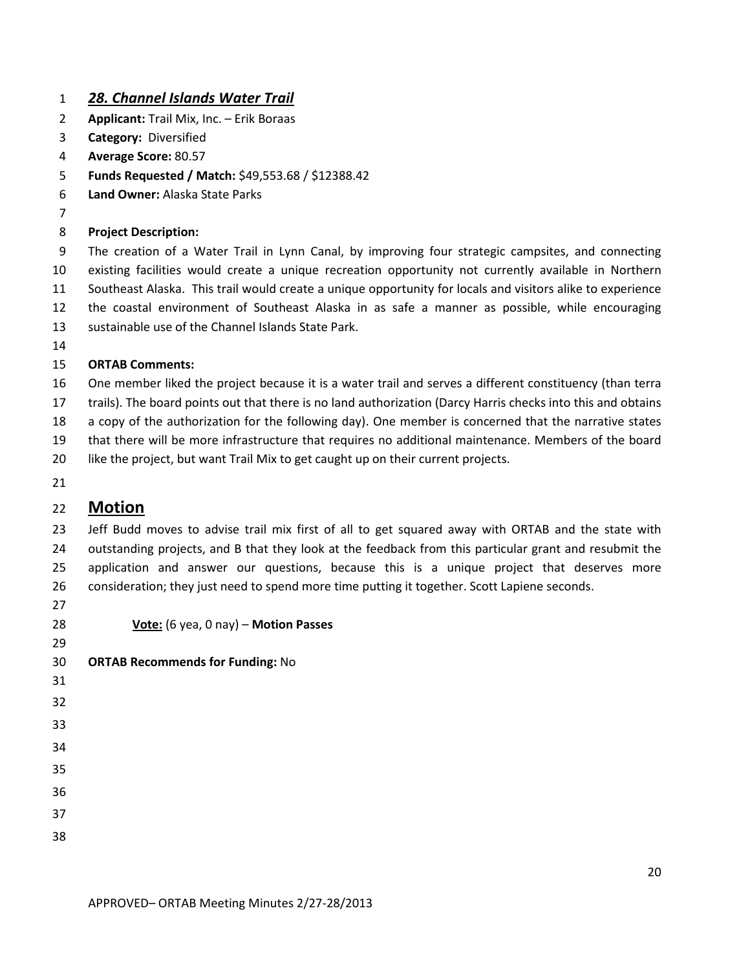#### *28. Channel Islands Water Trail*

- **Applicant:** Trail Mix, Inc. Erik Boraas
- **Category:** Diversified
- **Average Score:** 80.57
- **Funds Requested / Match:** \$49,553.68 / \$12388.42
- **Land Owner:** Alaska State Parks
- 

#### **Project Description:**

 The creation of a Water Trail in Lynn Canal, by improving four strategic campsites, and connecting existing facilities would create a unique recreation opportunity not currently available in Northern Southeast Alaska. This trail would create a unique opportunity for locals and visitors alike to experience the coastal environment of Southeast Alaska in as safe a manner as possible, while encouraging sustainable use of the Channel Islands State Park.

#### **ORTAB Comments:**

 One member liked the project because it is a water trail and serves a different constituency (than terra trails). The board points out that there is no land authorization (Darcy Harris checks into this and obtains a copy of the authorization for the following day). One member is concerned that the narrative states that there will be more infrastructure that requires no additional maintenance. Members of the board like the project, but want Trail Mix to get caught up on their current projects.

### **Motion**

 Jeff Budd moves to advise trail mix first of all to get squared away with ORTAB and the state with outstanding projects, and B that they look at the feedback from this particular grant and resubmit the application and answer our questions, because this is a unique project that deserves more consideration; they just need to spend more time putting it together. Scott Lapiene seconds.

**Vote:** (6 yea, 0 nay) – **Motion Passes**

| 29 |                                         |
|----|-----------------------------------------|
| 30 | <b>ORTAB Recommends for Funding: No</b> |
| 31 |                                         |
| 32 |                                         |
| 33 |                                         |
| 34 |                                         |
| 35 |                                         |
| 36 |                                         |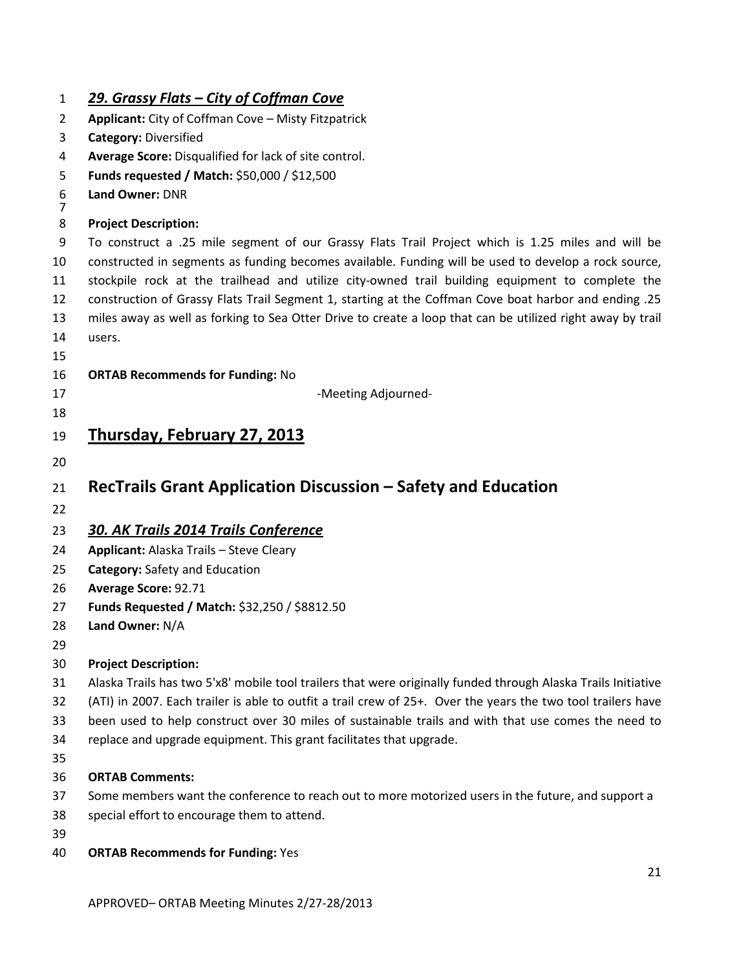| $\mathbf{1}$        | <u> 29. Grassy Flats – City of Coffman Cove</u>                                                               |
|---------------------|---------------------------------------------------------------------------------------------------------------|
| $\overline{2}$      | Applicant: City of Coffman Cove - Misty Fitzpatrick                                                           |
| 3                   | <b>Category: Diversified</b>                                                                                  |
| 4                   | Average Score: Disqualified for lack of site control.                                                         |
| 5                   | Funds requested / Match: \$50,000 / \$12,500                                                                  |
| 6<br>$\overline{7}$ | Land Owner: DNR                                                                                               |
| 8                   | <b>Project Description:</b>                                                                                   |
| 9                   | To construct a .25 mile segment of our Grassy Flats Trail Project which is 1.25 miles and will be             |
| 10                  | constructed in segments as funding becomes available. Funding will be used to develop a rock source,          |
| 11                  | stockpile rock at the trailhead and utilize city-owned trail building equipment to complete the               |
| 12                  | construction of Grassy Flats Trail Segment 1, starting at the Coffman Cove boat harbor and ending .25         |
| 13                  | miles away as well as forking to Sea Otter Drive to create a loop that can be utilized right away by trail    |
| 14                  | users.                                                                                                        |
| 15                  |                                                                                                               |
| 16                  | <b>ORTAB Recommends for Funding: No</b>                                                                       |
| 17                  | -Meeting Adjourned-                                                                                           |
| 18                  |                                                                                                               |
| 19                  | <u>Thursday, February 27, 2013</u>                                                                            |
| 20                  |                                                                                                               |
| 21                  | RecTrails Grant Application Discussion – Safety and Education                                                 |
| 22                  |                                                                                                               |
| 23                  | 30. AK Trails 2014 Trails Conference                                                                          |
| 24                  | Applicant: Alaska Trails - Steve Cleary                                                                       |
| 25                  | <b>Category: Safety and Education</b>                                                                         |
| 26                  | Average Score: 92.71                                                                                          |
| 27                  | Funds Requested / Match: \$32,250 / \$8812.50                                                                 |
| 28                  | Land Owner: N/A                                                                                               |
| 29                  |                                                                                                               |
| 30                  | <b>Project Description:</b>                                                                                   |
| 31                  | Alaska Trails has two 5'x8' mobile tool trailers that were originally funded through Alaska Trails Initiative |
| 32                  | (ATI) in 2007. Each trailer is able to outfit a trail crew of 25+. Over the years the two tool trailers have  |
| 33                  | been used to help construct over 30 miles of sustainable trails and with that use comes the need to           |
| 34                  | replace and upgrade equipment. This grant facilitates that upgrade.                                           |
| 35                  |                                                                                                               |
| 36                  | <b>ORTAB Comments:</b>                                                                                        |
| 37                  | Some members want the conference to reach out to more motorized users in the future, and support a            |
| 38                  |                                                                                                               |
|                     | special effort to encourage them to attend.                                                                   |
| 39                  |                                                                                                               |
| 40                  | <b>ORTAB Recommends for Funding: Yes</b>                                                                      |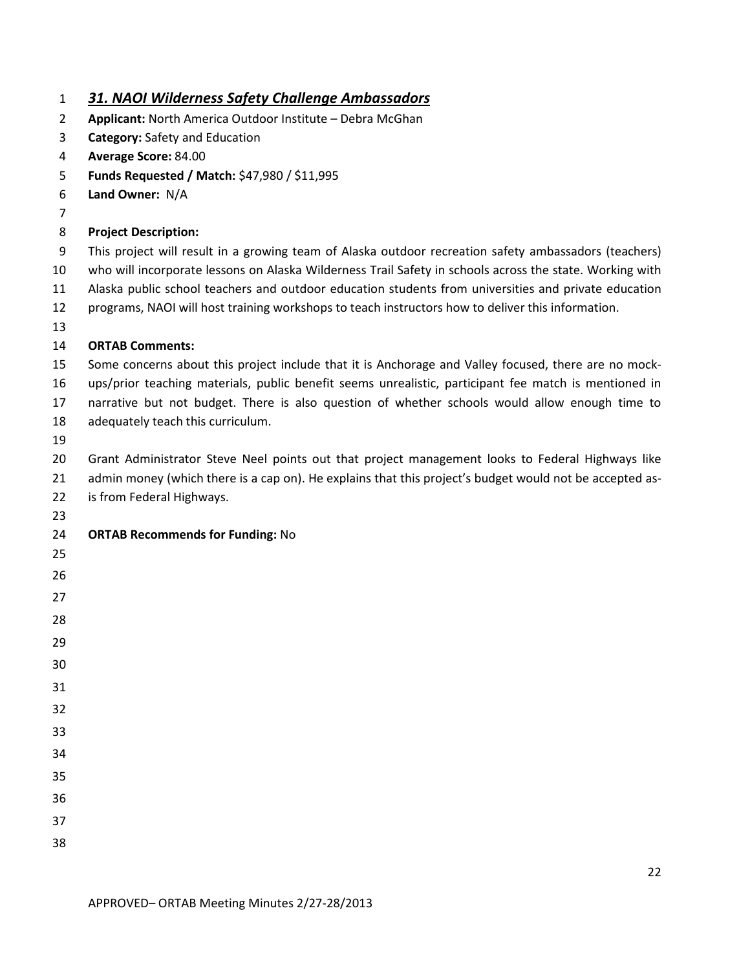| 31. NAOI Wilderness Safety Challenge Ambassadors |
|--------------------------------------------------|
|--------------------------------------------------|

- **Applicant:** North America Outdoor Institute Debra McGhan
- **Category:** Safety and Education
- **Average Score:** 84.00
- **Funds Requested / Match:** \$47,980 / \$11,995
- **Land Owner:** N/A
- 

#### **Project Description:**

- This project will result in a growing team of Alaska outdoor recreation safety ambassadors (teachers)
- who will incorporate lessons on Alaska Wilderness Trail Safety in schools across the state. Working with Alaska public school teachers and outdoor education students from universities and private education
- programs, NAOI will host training workshops to teach instructors how to deliver this information.
- 

#### **ORTAB Comments:**

- Some concerns about this project include that it is Anchorage and Valley focused, there are no mock-ups/prior teaching materials, public benefit seems unrealistic, participant fee match is mentioned in
- narrative but not budget. There is also question of whether schools would allow enough time to
- adequately teach this curriculum.
- 

 Grant Administrator Steve Neel points out that project management looks to Federal Highways like 21 admin money (which there is a cap on). He explains that this project's budget would not be accepted as-

- is from Federal Highways.
- 

### **ORTAB Recommends for Funding:** No

- 
- 
- 
- 
- 
- 
- 
- 
- 
- 
- 
- 
- 
-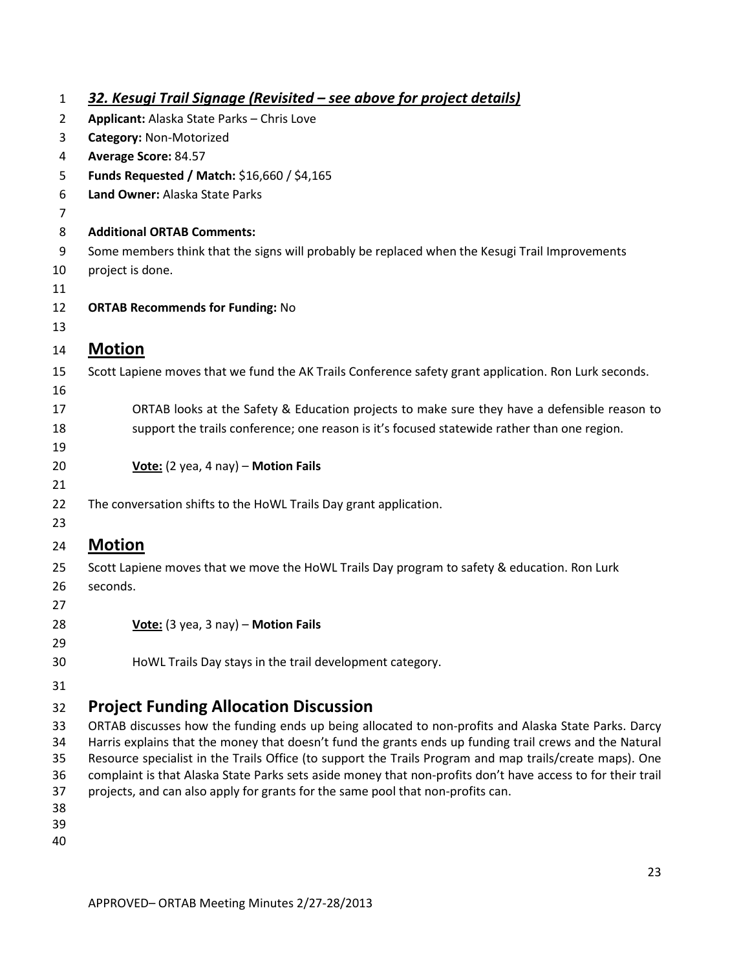| $\mathbf{1}$   | 32. Kesugi Trail Signage (Revisited – see above for project details)                                        |
|----------------|-------------------------------------------------------------------------------------------------------------|
| 2              | Applicant: Alaska State Parks - Chris Love                                                                  |
| 3              | Category: Non-Motorized                                                                                     |
| 4              | Average Score: 84.57                                                                                        |
| 5              | Funds Requested / Match: \$16,660 / \$4,165                                                                 |
| 6              | Land Owner: Alaska State Parks                                                                              |
| 7              |                                                                                                             |
| 8              | <b>Additional ORTAB Comments:</b>                                                                           |
| 9              | Some members think that the signs will probably be replaced when the Kesugi Trail Improvements              |
| 10             | project is done.                                                                                            |
| 11             |                                                                                                             |
| 12             | <b>ORTAB Recommends for Funding: No</b>                                                                     |
| 13             |                                                                                                             |
| 14             | <b>Motion</b>                                                                                               |
| 15             | Scott Lapiene moves that we fund the AK Trails Conference safety grant application. Ron Lurk seconds.       |
| 16             |                                                                                                             |
| 17             | ORTAB looks at the Safety & Education projects to make sure they have a defensible reason to                |
| 18             | support the trails conference; one reason is it's focused statewide rather than one region.                 |
| 19             |                                                                                                             |
| 20             | Vote: (2 yea, 4 nay) - Motion Fails                                                                         |
| 21             |                                                                                                             |
| 22             | The conversation shifts to the HoWL Trails Day grant application.                                           |
| 23             |                                                                                                             |
| 24             | <b>Motion</b>                                                                                               |
| 25<br>26<br>27 | Scott Lapiene moves that we move the HoWL Trails Day program to safety & education. Ron Lurk<br>seconds.    |
| 28             | Vote: (3 yea, 3 nay) - Motion Fails                                                                         |
| 29             |                                                                                                             |
| 30             | HoWL Trails Day stays in the trail development category.                                                    |
| 31             |                                                                                                             |
|                | <b>Project Funding Allocation Discussion</b>                                                                |
| 32<br>33       | ORTAB discusses how the funding ends up being allocated to non-profits and Alaska State Parks. Darcy        |
| 34             | Harris explains that the money that doesn't fund the grants ends up funding trail crews and the Natural     |
| 35             | Resource specialist in the Trails Office (to support the Trails Program and map trails/create maps). One    |
| 36             | complaint is that Alaska State Parks sets aside money that non-profits don't have access to for their trail |
| 37             | projects, and can also apply for grants for the same pool that non-profits can.                             |
| 38<br>39       |                                                                                                             |
| 40             |                                                                                                             |
|                |                                                                                                             |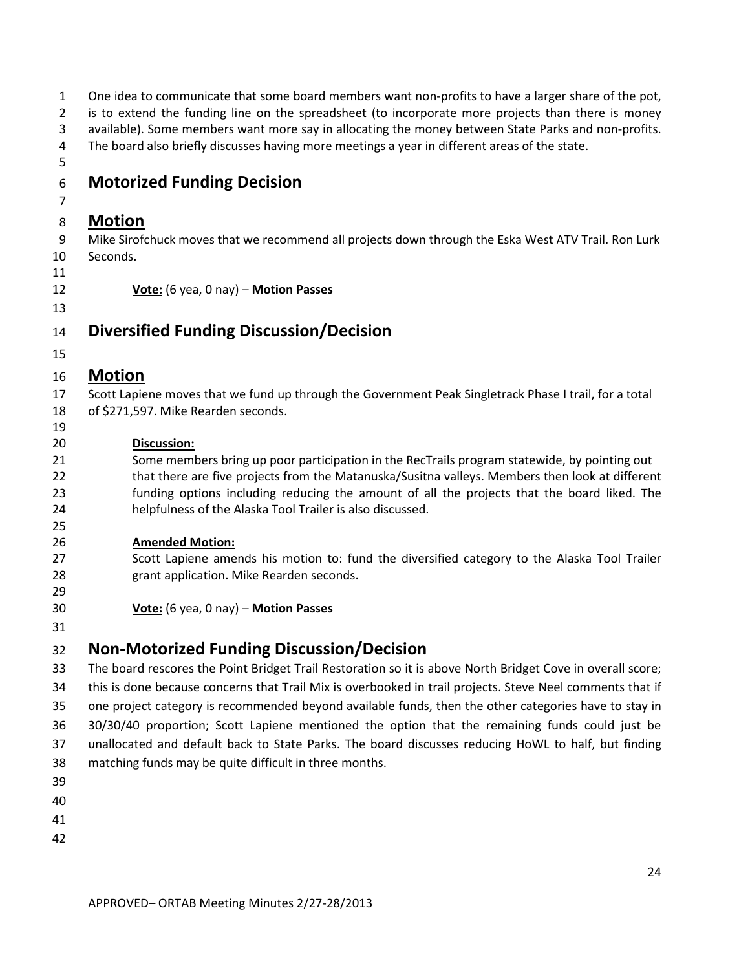| 1              | One idea to communicate that some board members want non-profits to have a larger share of the pot,        |
|----------------|------------------------------------------------------------------------------------------------------------|
| $\overline{2}$ | is to extend the funding line on the spreadsheet (to incorporate more projects than there is money         |
| 3              | available). Some members want more say in allocating the money between State Parks and non-profits.        |
| 4              | The board also briefly discusses having more meetings a year in different areas of the state.              |
| 5              |                                                                                                            |
| 6              | <b>Motorized Funding Decision</b>                                                                          |
| 7              |                                                                                                            |
| 8              | <b>Motion</b>                                                                                              |
| 9              | Mike Sirofchuck moves that we recommend all projects down through the Eska West ATV Trail. Ron Lurk        |
| 10             | Seconds.                                                                                                   |
| 11             |                                                                                                            |
| 12             | Vote: (6 yea, 0 nay) - Motion Passes                                                                       |
| 13             |                                                                                                            |
| 14             | <b>Diversified Funding Discussion/Decision</b>                                                             |
| 15             |                                                                                                            |
| 16             | <b>Motion</b>                                                                                              |
| 17             | Scott Lapiene moves that we fund up through the Government Peak Singletrack Phase I trail, for a total     |
| 18             | of \$271,597. Mike Rearden seconds.                                                                        |
| 19             |                                                                                                            |
| 20             | Discussion:                                                                                                |
| 21             | Some members bring up poor participation in the RecTrails program statewide, by pointing out               |
| 22             | that there are five projects from the Matanuska/Susitna valleys. Members then look at different            |
| 23             | funding options including reducing the amount of all the projects that the board liked. The                |
| 24             | helpfulness of the Alaska Tool Trailer is also discussed.                                                  |
| 25<br>26       | <b>Amended Motion:</b>                                                                                     |
| 27             | Scott Lapiene amends his motion to: fund the diversified category to the Alaska Tool Trailer               |
| 28             | grant application. Mike Rearden seconds.                                                                   |
| 29             |                                                                                                            |
| 30             | Vote: (6 yea, 0 nay) - Motion Passes                                                                       |
| 31             |                                                                                                            |
| 32             | <b>Non-Motorized Funding Discussion/Decision</b>                                                           |
| 33             | The board rescores the Point Bridget Trail Restoration so it is above North Bridget Cove in overall score; |
| 34             | this is done because concerns that Trail Mix is overbooked in trail projects. Steve Neel comments that if  |
|                |                                                                                                            |

 one project category is recommended beyond available funds, then the other categories have to stay in 30/30/40 proportion; Scott Lapiene mentioned the option that the remaining funds could just be

unallocated and default back to State Parks. The board discusses reducing HoWL to half, but finding

- matching funds may be quite difficult in three months.
- 
- 
- 
-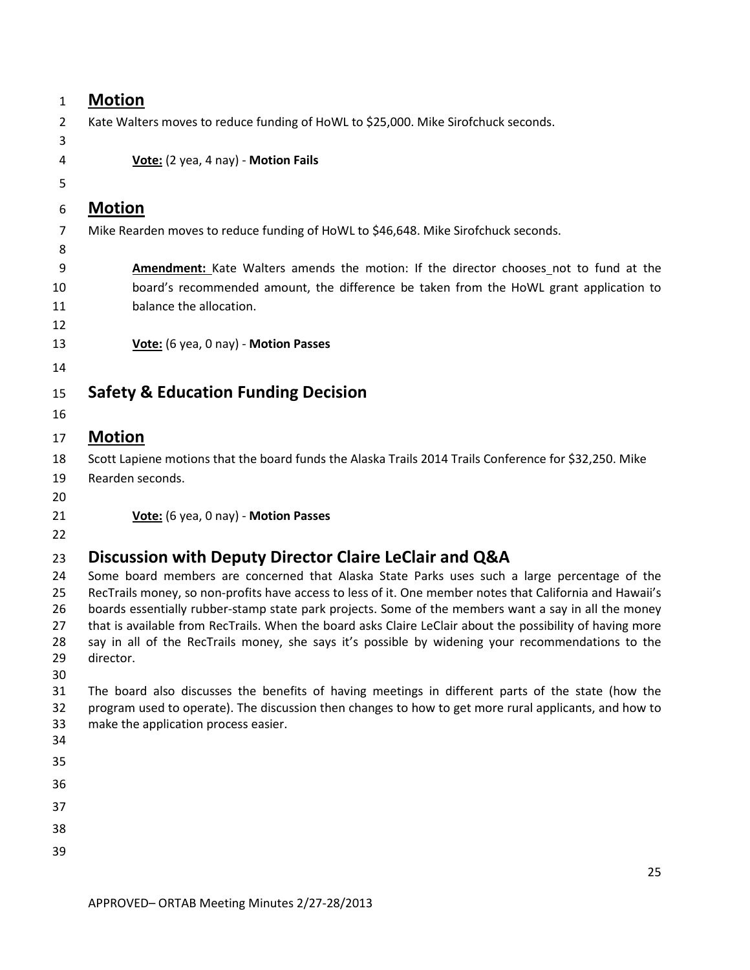| $\mathbf{1}$ | <b>Motion</b>                                                                                                  |
|--------------|----------------------------------------------------------------------------------------------------------------|
| 2            | Kate Walters moves to reduce funding of HoWL to \$25,000. Mike Sirofchuck seconds.                             |
| 3            |                                                                                                                |
| 4            | Vote: (2 yea, 4 nay) - Motion Fails                                                                            |
| 5            |                                                                                                                |
| 6            | <b>Motion</b>                                                                                                  |
| 7            | Mike Rearden moves to reduce funding of HoWL to \$46,648. Mike Sirofchuck seconds.                             |
| 8            |                                                                                                                |
| 9            | Amendment: Kate Walters amends the motion: If the director chooses_not to fund at the                          |
| 10           | board's recommended amount, the difference be taken from the HoWL grant application to                         |
| 11<br>12     | balance the allocation.                                                                                        |
| 13           | Vote: (6 yea, 0 nay) - Motion Passes                                                                           |
| 14           |                                                                                                                |
|              |                                                                                                                |
| 15           | <b>Safety &amp; Education Funding Decision</b>                                                                 |
| 16           |                                                                                                                |
| 17           | <b>Motion</b>                                                                                                  |
| 18           | Scott Lapiene motions that the board funds the Alaska Trails 2014 Trails Conference for \$32,250. Mike         |
| 19           | Rearden seconds.                                                                                               |
| 20<br>21     | Vote: (6 yea, 0 nay) - Motion Passes                                                                           |
| 22           |                                                                                                                |
| 23           | Discussion with Deputy Director Claire LeClair and Q&A                                                         |
| 24           | Some board members are concerned that Alaska State Parks uses such a large percentage of the                   |
| 25           | RecTrails money, so non-profits have access to less of it. One member notes that California and Hawaii's       |
| 26           | boards essentially rubber-stamp state park projects. Some of the members want a say in all the money           |
| 27           | that is available from RecTrails. When the board asks Claire LeClair about the possibility of having more      |
| 28<br>29     | say in all of the RecTrails money, she says it's possible by widening your recommendations to the<br>director. |
| 30           |                                                                                                                |
| 31           | The board also discusses the benefits of having meetings in different parts of the state (how the              |
| 32           | program used to operate). The discussion then changes to how to get more rural applicants, and how to          |
| 33<br>34     | make the application process easier.                                                                           |
| 35           |                                                                                                                |
| 36           |                                                                                                                |
| 37           |                                                                                                                |
| 38           |                                                                                                                |
| 39           |                                                                                                                |
|              | 25.                                                                                                            |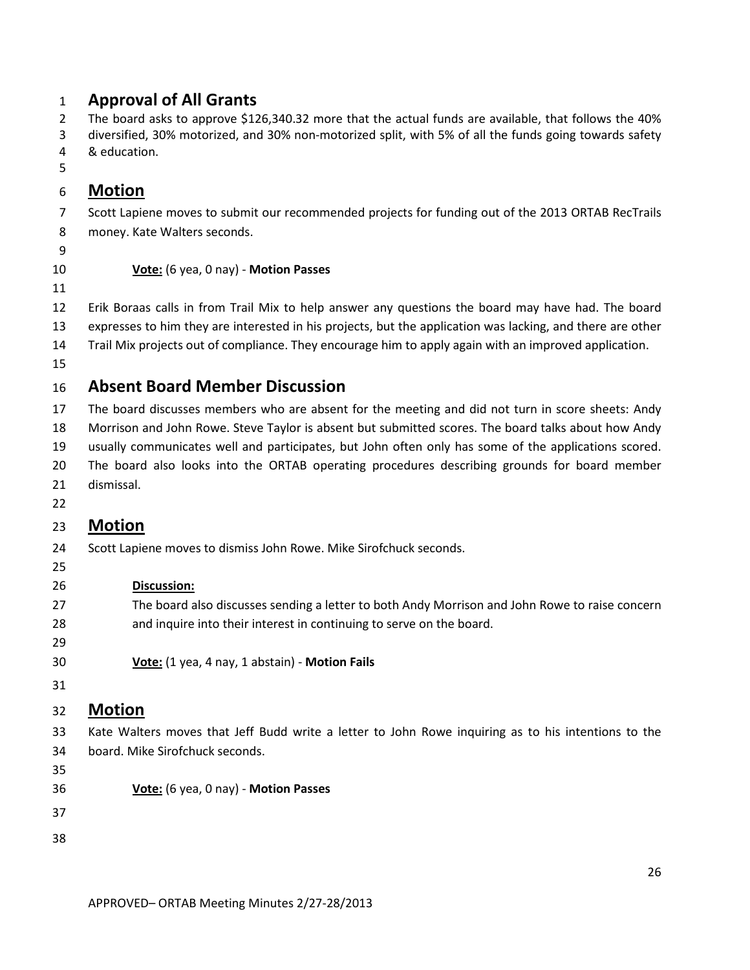### **Approval of All Grants**

The board asks to approve \$126,340.32 more that the actual funds are available, that follows the 40%

- diversified, 30% motorized, and 30% non-motorized split, with 5% of all the funds going towards safety
- & education.
- 

## **Motion**

- Scott Lapiene moves to submit our recommended projects for funding out of the 2013 ORTAB RecTrails
- money. Kate Walters seconds.
- 
- 

### **Vote:** (6 yea, 0 nay) - **Motion Passes**

 Erik Boraas calls in from Trail Mix to help answer any questions the board may have had. The board expresses to him they are interested in his projects, but the application was lacking, and there are other

- Trail Mix projects out of compliance. They encourage him to apply again with an improved application.
- 

# **Absent Board Member Discussion**

 The board discusses members who are absent for the meeting and did not turn in score sheets: Andy Morrison and John Rowe. Steve Taylor is absent but submitted scores. The board talks about how Andy

- usually communicates well and participates, but John often only has some of the applications scored.
- The board also looks into the ORTAB operating procedures describing grounds for board member
- dismissal.
- 

# **Motion**

- Scott Lapiene moves to dismiss John Rowe. Mike Sirofchuck seconds.
- 

### **Discussion:**

- The board also discusses sending a letter to both Andy Morrison and John Rowe to raise concern and inquire into their interest in continuing to serve on the board.
- **Vote:** (1 yea, 4 nay, 1 abstain) **Motion Fails**
- 

# **Motion**

 Kate Walters moves that Jeff Budd write a letter to John Rowe inquiring as to his intentions to the board. Mike Sirofchuck seconds.

- 
- **Vote:** (6 yea, 0 nay) **Motion Passes**
- 
-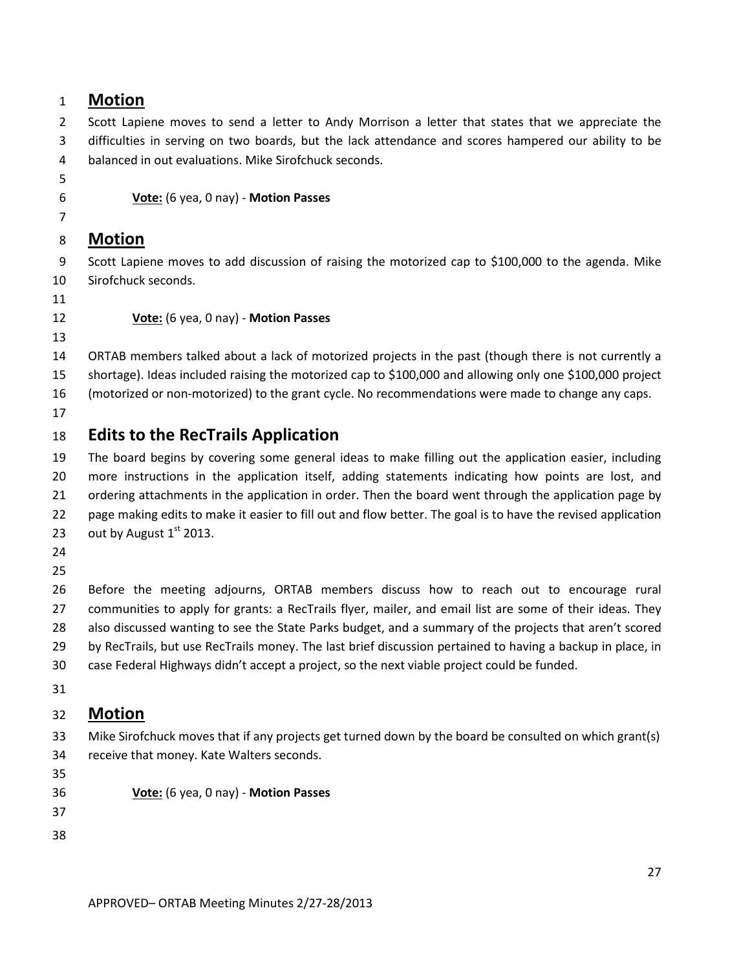### **Motion**

2 Scott Lapiene moves to send a letter to Andy Morrison a letter that states that we appreciate the difficulties in serving on two boards, but the lack attendance and scores hampered our ability to be balanced in out evaluations. Mike Sirofchuck seconds.

**Vote:** (6 yea, 0 nay) - **Motion Passes**

#### **Motion**

 Scott Lapiene moves to add discussion of raising the motorized cap to \$100,000 to the agenda. Mike Sirofchuck seconds.

**Vote:** (6 yea, 0 nay) - **Motion Passes**

ORTAB members talked about a lack of motorized projects in the past (though there is not currently a

shortage). Ideas included raising the motorized cap to \$100,000 and allowing only one \$100,000 project

(motorized or non-motorized) to the grant cycle. No recommendations were made to change any caps.

## **Edits to the RecTrails Application**

 The board begins by covering some general ideas to make filling out the application easier, including more instructions in the application itself, adding statements indicating how points are lost, and ordering attachments in the application in order. Then the board went through the application page by page making edits to make it easier to fill out and flow better. The goal is to have the revised application 23 out by August  $1<sup>st</sup>$  2013.

 Before the meeting adjourns, ORTAB members discuss how to reach out to encourage rural communities to apply for grants: a RecTrails flyer, mailer, and email list are some of their ideas. They also discussed wanting to see the State Parks budget, and a summary of the projects that aren't scored by RecTrails, but use RecTrails money. The last brief discussion pertained to having a backup in place, in case Federal Highways didn't accept a project, so the next viable project could be funded.

# **Motion**

 Mike Sirofchuck moves that if any projects get turned down by the board be consulted on which grant(s) receive that money. Kate Walters seconds.

**Vote:** (6 yea, 0 nay) - **Motion Passes**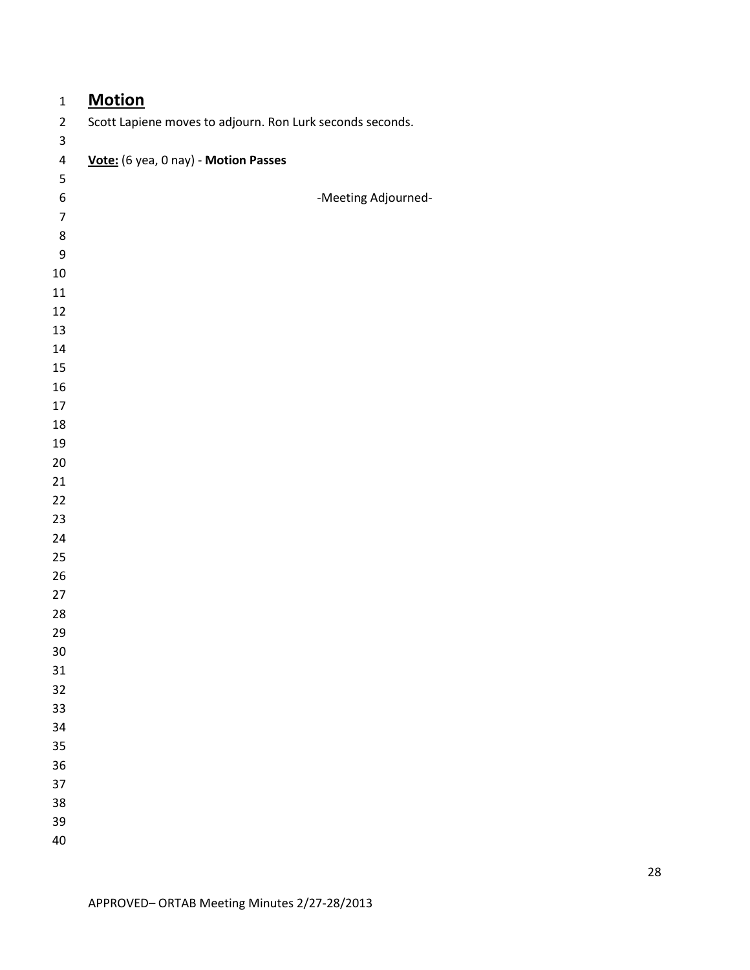| $\mathbf 1$      | <b>Motion</b>                                             |
|------------------|-----------------------------------------------------------|
| $\overline{2}$   | Scott Lapiene moves to adjourn. Ron Lurk seconds seconds. |
| $\mathsf 3$      |                                                           |
| $\pmb{4}$        | Vote: (6 yea, 0 nay) - Motion Passes                      |
| $\mathsf S$      |                                                           |
| 6                | -Meeting Adjourned-                                       |
| $\overline{7}$   |                                                           |
| 8                |                                                           |
| $\boldsymbol{9}$ |                                                           |
| $10\,$           |                                                           |
| 11               |                                                           |
| 12               |                                                           |
| 13               |                                                           |
| 14               |                                                           |
| 15               |                                                           |
| 16<br>17         |                                                           |
| 18               |                                                           |
| 19               |                                                           |
| 20               |                                                           |
| 21               |                                                           |
| 22               |                                                           |
| 23               |                                                           |
| 24               |                                                           |
| 25               |                                                           |
| 26               |                                                           |
| 27               |                                                           |
| 28               |                                                           |
| 29               |                                                           |
| 30               |                                                           |
| 31               |                                                           |
| 32               |                                                           |
| 33               |                                                           |
| 34               |                                                           |
| 35               |                                                           |
| 36               |                                                           |
| 37               |                                                           |
| 38               |                                                           |
| 39               |                                                           |
| 40               |                                                           |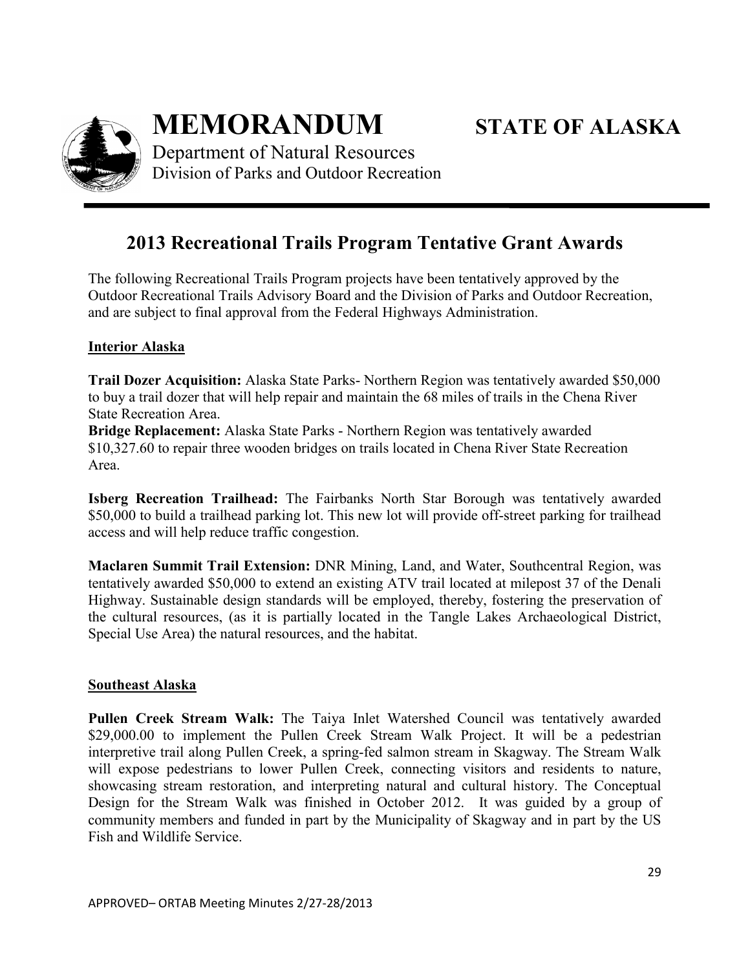

**MEMORANDUM STATE OF ALASKA**

Department of Natural Resources Division of Parks and Outdoor Recreation

# **2013 Recreational Trails Program Tentative Grant Awards**

The following Recreational Trails Program projects have been tentatively approved by the Outdoor Recreational Trails Advisory Board and the Division of Parks and Outdoor Recreation, and are subject to final approval from the Federal Highways Administration.

### **Interior Alaska**

**Trail Dozer Acquisition:** Alaska State Parks- Northern Region was tentatively awarded \$50,000 to buy a trail dozer that will help repair and maintain the 68 miles of trails in the Chena River State Recreation Area.

**Bridge Replacement:** Alaska State Parks - Northern Region was tentatively awarded \$10,327.60 to repair three wooden bridges on trails located in Chena River State Recreation Area.

**Isberg Recreation Trailhead:** The Fairbanks North Star Borough was tentatively awarded \$50,000 to build a trailhead parking lot. This new lot will provide off-street parking for trailhead access and will help reduce traffic congestion.

**Maclaren Summit Trail Extension:** DNR Mining, Land, and Water, Southcentral Region, was tentatively awarded \$50,000 to extend an existing ATV trail located at milepost 37 of the Denali Highway. Sustainable design standards will be employed, thereby, fostering the preservation of the cultural resources, (as it is partially located in the Tangle Lakes Archaeological District, Special Use Area) the natural resources, and the habitat.

#### **Southeast Alaska**

**Pullen Creek Stream Walk:** The Taiya Inlet Watershed Council was tentatively awarded \$29,000.00 to implement the Pullen Creek Stream Walk Project. It will be a pedestrian interpretive trail along Pullen Creek, a spring-fed salmon stream in Skagway. The Stream Walk will expose pedestrians to lower Pullen Creek, connecting visitors and residents to nature, showcasing stream restoration, and interpreting natural and cultural history. The Conceptual Design for the Stream Walk was finished in October 2012. It was guided by a group of community members and funded in part by the Municipality of Skagway and in part by the US Fish and Wildlife Service.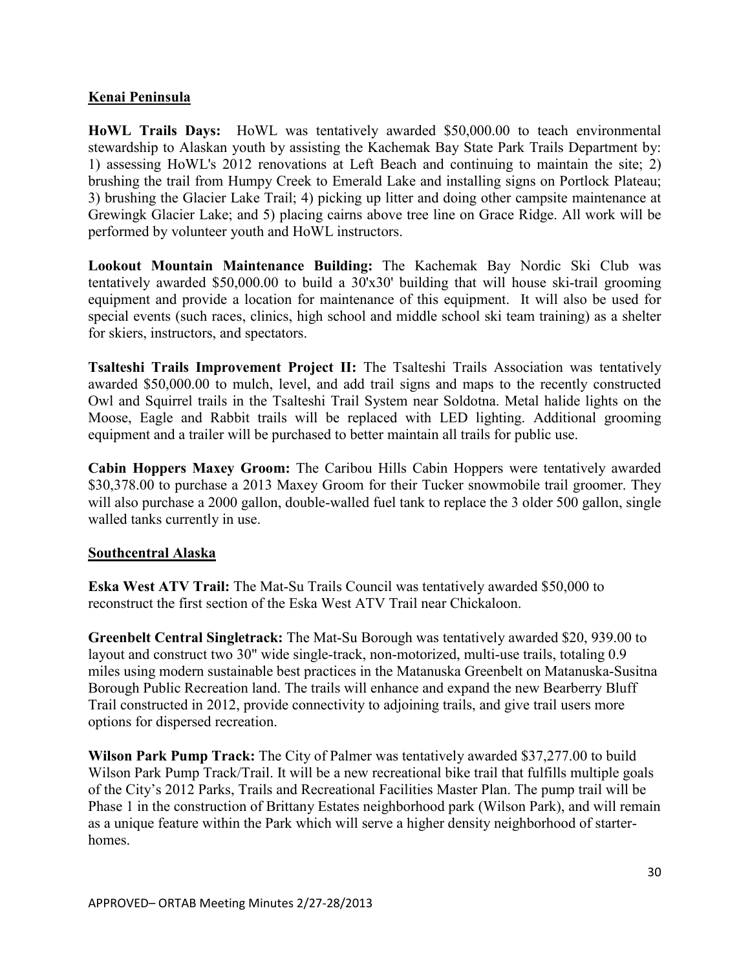#### **Kenai Peninsula**

**HoWL Trails Days:** HoWL was tentatively awarded \$50,000.00 to teach environmental stewardship to Alaskan youth by assisting the Kachemak Bay State Park Trails Department by: 1) assessing HoWL's 2012 renovations at Left Beach and continuing to maintain the site; 2) brushing the trail from Humpy Creek to Emerald Lake and installing signs on Portlock Plateau; 3) brushing the Glacier Lake Trail; 4) picking up litter and doing other campsite maintenance at Grewingk Glacier Lake; and 5) placing cairns above tree line on Grace Ridge. All work will be performed by volunteer youth and HoWL instructors.

**Lookout Mountain Maintenance Building:** The Kachemak Bay Nordic Ski Club was tentatively awarded \$50,000.00 to build a 30'x30' building that will house ski-trail grooming equipment and provide a location for maintenance of this equipment. It will also be used for special events (such races, clinics, high school and middle school ski team training) as a shelter for skiers, instructors, and spectators.

**Tsalteshi Trails Improvement Project II:** The Tsalteshi Trails Association was tentatively awarded \$50,000.00 to mulch, level, and add trail signs and maps to the recently constructed Owl and Squirrel trails in the Tsalteshi Trail System near Soldotna. Metal halide lights on the Moose, Eagle and Rabbit trails will be replaced with LED lighting. Additional grooming equipment and a trailer will be purchased to better maintain all trails for public use.

**Cabin Hoppers Maxey Groom:** The Caribou Hills Cabin Hoppers were tentatively awarded \$30,378.00 to purchase a 2013 Maxey Groom for their Tucker snowmobile trail groomer. They will also purchase a 2000 gallon, double-walled fuel tank to replace the 3 older 500 gallon, single walled tanks currently in use.

#### **Southcentral Alaska**

**Eska West ATV Trail:** The Mat-Su Trails Council was tentatively awarded \$50,000 to reconstruct the first section of the Eska West ATV Trail near Chickaloon.

**Greenbelt Central Singletrack:** The Mat-Su Borough was tentatively awarded \$20, 939.00 to layout and construct two 30" wide single-track, non-motorized, multi-use trails, totaling 0.9 miles using modern sustainable best practices in the Matanuska Greenbelt on Matanuska-Susitna Borough Public Recreation land. The trails will enhance and expand the new Bearberry Bluff Trail constructed in 2012, provide connectivity to adjoining trails, and give trail users more options for dispersed recreation.

**Wilson Park Pump Track:** The City of Palmer was tentatively awarded \$37,277.00 to build Wilson Park Pump Track/Trail. It will be a new recreational bike trail that fulfills multiple goals of the City's 2012 Parks, Trails and Recreational Facilities Master Plan. The pump trail will be Phase 1 in the construction of Brittany Estates neighborhood park (Wilson Park), and will remain as a unique feature within the Park which will serve a higher density neighborhood of starterhomes.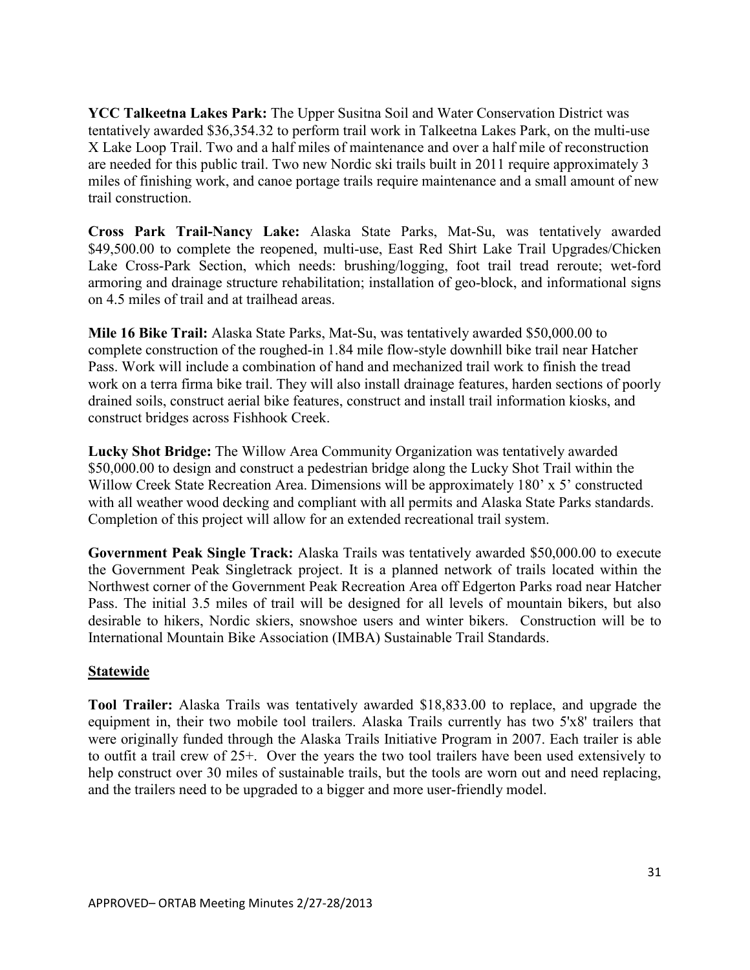**YCC Talkeetna Lakes Park:** The Upper Susitna Soil and Water Conservation District was tentatively awarded \$36,354.32 to perform trail work in Talkeetna Lakes Park, on the multi-use X Lake Loop Trail. Two and a half miles of maintenance and over a half mile of reconstruction are needed for this public trail. Two new Nordic ski trails built in 2011 require approximately 3 miles of finishing work, and canoe portage trails require maintenance and a small amount of new trail construction.

**Cross Park Trail-Nancy Lake:** Alaska State Parks, Mat-Su, was tentatively awarded \$49,500.00 to complete the reopened, multi-use, East Red Shirt Lake Trail Upgrades/Chicken Lake Cross-Park Section, which needs: brushing/logging, foot trail tread reroute; wet-ford armoring and drainage structure rehabilitation; installation of geo-block, and informational signs on 4.5 miles of trail and at trailhead areas.

**Mile 16 Bike Trail:** Alaska State Parks, Mat-Su, was tentatively awarded \$50,000.00 to complete construction of the roughed-in 1.84 mile flow-style downhill bike trail near Hatcher Pass. Work will include a combination of hand and mechanized trail work to finish the tread work on a terra firma bike trail. They will also install drainage features, harden sections of poorly drained soils, construct aerial bike features, construct and install trail information kiosks, and construct bridges across Fishhook Creek.

**Lucky Shot Bridge:** The Willow Area Community Organization was tentatively awarded \$50,000.00 to design and construct a pedestrian bridge along the Lucky Shot Trail within the Willow Creek State Recreation Area. Dimensions will be approximately 180' x 5' constructed with all weather wood decking and compliant with all permits and Alaska State Parks standards. Completion of this project will allow for an extended recreational trail system.

**Government Peak Single Track:** Alaska Trails was tentatively awarded \$50,000.00 to execute the Government Peak Singletrack project. It is a planned network of trails located within the Northwest corner of the Government Peak Recreation Area off Edgerton Parks road near Hatcher Pass. The initial 3.5 miles of trail will be designed for all levels of mountain bikers, but also desirable to hikers, Nordic skiers, snowshoe users and winter bikers. Construction will be to International Mountain Bike Association (IMBA) Sustainable Trail Standards.

#### **Statewide**

**Tool Trailer:** Alaska Trails was tentatively awarded \$18,833.00 to replace, and upgrade the equipment in, their two mobile tool trailers. Alaska Trails currently has two 5'x8' trailers that were originally funded through the Alaska Trails Initiative Program in 2007. Each trailer is able to outfit a trail crew of 25+. Over the years the two tool trailers have been used extensively to help construct over 30 miles of sustainable trails, but the tools are worn out and need replacing, and the trailers need to be upgraded to a bigger and more user-friendly model.